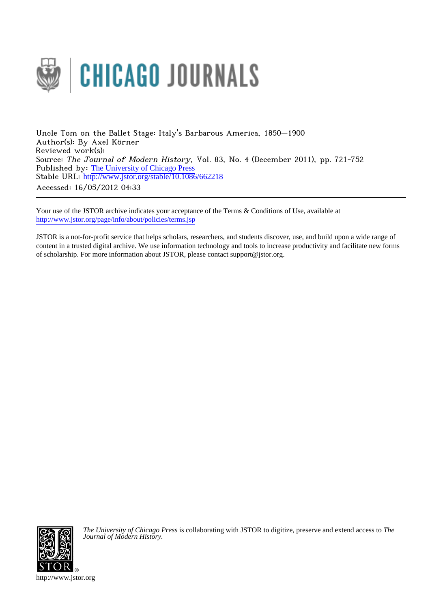

Uncle Tom on the Ballet Stage: Italy's Barbarous America, 1850–1900 Author(s): By Axel Körner Reviewed work(s): Source: The Journal of Modern History, Vol. 83, No. 4 (December 2011), pp. 721-752 Published by: [The University of Chicago Press](http://www.jstor.org/action/showPublisher?publisherCode=ucpress) Stable URL: http://www.jstor.org/stable/10.1086/662218 Accessed: 16/05/2012 04:33

Your use of the JSTOR archive indicates your acceptance of the Terms & Conditions of Use, available at <http://www.jstor.org/page/info/about/policies/terms.jsp>

JSTOR is a not-for-profit service that helps scholars, researchers, and students discover, use, and build upon a wide range of content in a trusted digital archive. We use information technology and tools to increase productivity and facilitate new forms of scholarship. For more information about JSTOR, please contact support@jstor.org.



*The University of Chicago Press* is collaborating with JSTOR to digitize, preserve and extend access to *The Journal of Modern History.*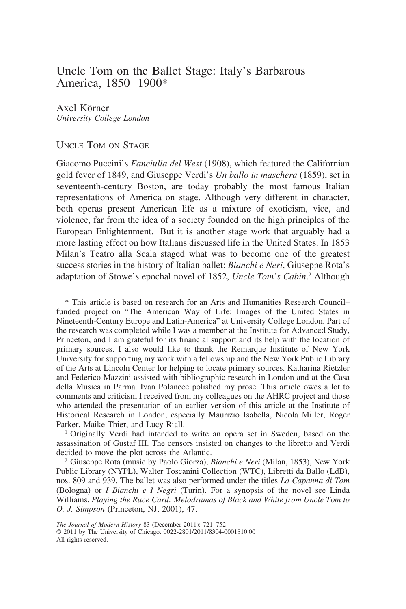# Uncle Tom on the Ballet Stage: Italy's Barbarous America, 1850–1900\*

Axel Körner *University College London*

## UNCLE TOM ON STAGE

Giacomo Puccini's *Fanciulla del West* (1908), which featured the Californian gold fever of 1849, and Giuseppe Verdi's *Un ballo in maschera* (1859), set in seventeenth-century Boston, are today probably the most famous Italian representations of America on stage. Although very different in character, both operas present American life as a mixture of exoticism, vice, and violence, far from the idea of a society founded on the high principles of the European Enlightenment.<sup>1</sup> But it is another stage work that arguably had a more lasting effect on how Italians discussed life in the United States. In 1853 Milan's Teatro alla Scala staged what was to become one of the greatest success stories in the history of Italian ballet: *Bianchi e Neri*, Giuseppe Rota's adaptation of Stowe's epochal novel of 1852, *Uncle Tom's Cabin*. <sup>2</sup> Although

\* This article is based on research for an Arts and Humanities Research Council– funded project on "The American Way of Life: Images of the United States in Nineteenth-Century Europe and Latin-America" at University College London. Part of the research was completed while I was a member at the Institute for Advanced Study, Princeton, and I am grateful for its financial support and its help with the location of primary sources. I also would like to thank the Remarque Institute of New York University for supporting my work with a fellowship and the New York Public Library of the Arts at Lincoln Center for helping to locate primary sources. Katharina Rietzler and Federico Mazzini assisted with bibliographic research in London and at the Casa della Musica in Parma. Ivan Polancec polished my prose. This article owes a lot to comments and criticism I received from my colleagues on the AHRC project and those who attended the presentation of an earlier version of this article at the Institute of Historical Research in London, especially Maurizio Isabella, Nicola Miller, Roger Parker, Maike Thier, and Lucy Riall.

<sup>1</sup> Originally Verdi had intended to write an opera set in Sweden, based on the assassination of Gustaf III. The censors insisted on changes to the libretto and Verdi decided to move the plot across the Atlantic.

<sup>2</sup> Giuseppe Rota (music by Paolo Giorza), *Bianchi e Neri* (Milan, 1853), New York Public Library (NYPL), Walter Toscanini Collection (WTC), Libretti da Ballo (LdB), nos. 809 and 939. The ballet was also performed under the titles *La Capanna di Tom* (Bologna) or *I Bianchi e I Negri* (Turin). For a synopsis of the novel see Linda Williams, *Playing the Race Card: Melodramas of Black and White from Uncle Tom to O. J. Simpson* (Princeton, NJ, 2001), 47.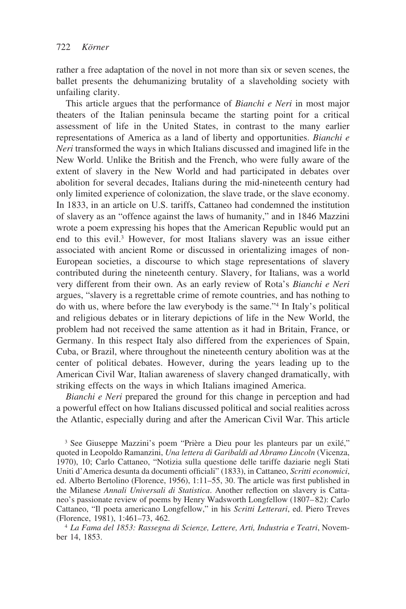rather a free adaptation of the novel in not more than six or seven scenes, the ballet presents the dehumanizing brutality of a slaveholding society with unfailing clarity.

This article argues that the performance of *Bianchi e Neri* in most major theaters of the Italian peninsula became the starting point for a critical assessment of life in the United States, in contrast to the many earlier representations of America as a land of liberty and opportunities. *Bianchi e Neri* transformed the ways in which Italians discussed and imagined life in the New World. Unlike the British and the French, who were fully aware of the extent of slavery in the New World and had participated in debates over abolition for several decades, Italians during the mid-nineteenth century had only limited experience of colonization, the slave trade, or the slave economy. In 1833, in an article on U.S. tariffs, Cattaneo had condemned the institution of slavery as an "offence against the laws of humanity," and in 1846 Mazzini wrote a poem expressing his hopes that the American Republic would put an end to this evil.3 However, for most Italians slavery was an issue either associated with ancient Rome or discussed in orientalizing images of non-European societies, a discourse to which stage representations of slavery contributed during the nineteenth century. Slavery, for Italians, was a world very different from their own. As an early review of Rota's *Bianchi e Neri* argues, "slavery is a regrettable crime of remote countries, and has nothing to do with us, where before the law everybody is the same."4 In Italy's political and religious debates or in literary depictions of life in the New World, the problem had not received the same attention as it had in Britain, France, or Germany. In this respect Italy also differed from the experiences of Spain, Cuba, or Brazil, where throughout the nineteenth century abolition was at the center of political debates. However, during the years leading up to the American Civil War, Italian awareness of slavery changed dramatically, with striking effects on the ways in which Italians imagined America.

*Bianchi e Neri* prepared the ground for this change in perception and had a powerful effect on how Italians discussed political and social realities across the Atlantic, especially during and after the American Civil War. This article

<sup>3</sup> See Giuseppe Mazzini's poem "Prière a Dieu pour les planteurs par un exilé," quoted in Leopoldo Ramanzini, *Una lettera di Garibaldi ad Abramo Lincoln* (Vicenza, 1970), 10; Carlo Cattaneo, "Notizia sulla questione delle tariffe daziarie negli Stati Uniti d'America desunta da documenti officiali" (1833), in Cattaneo, *Scritti economici*, ed. Alberto Bertolino (Florence, 1956), 1:11–55, 30. The article was first published in the Milanese *Annali Universali di Statistica*. Another reflection on slavery is Cattaneo's passionate review of poems by Henry Wadsworth Longfellow (1807–82): Carlo Cattaneo, "Il poeta americano Longfellow," in his *Scritti Letterari*, ed. Piero Treves (Florence, 1981), 1:461–73, 462.

<sup>4</sup> *La Fama del 1853: Rassegna di Scienze, Lettere, Arti, Industria e Teatri*, November 14, 1853.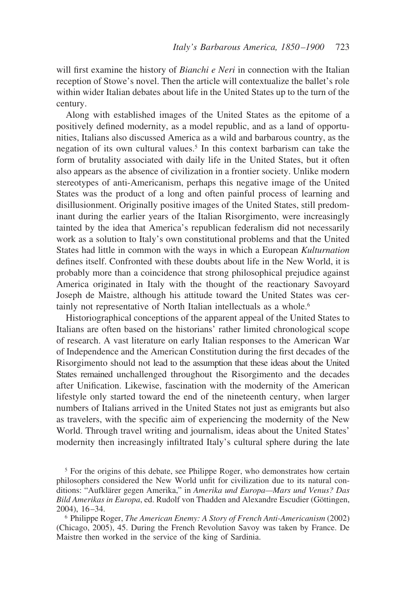will first examine the history of *Bianchi e Neri* in connection with the Italian reception of Stowe's novel. Then the article will contextualize the ballet's role within wider Italian debates about life in the United States up to the turn of the century.

Along with established images of the United States as the epitome of a positively defined modernity, as a model republic, and as a land of opportunities, Italians also discussed America as a wild and barbarous country, as the negation of its own cultural values.<sup>5</sup> In this context barbarism can take the form of brutality associated with daily life in the United States, but it often also appears as the absence of civilization in a frontier society. Unlike modern stereotypes of anti-Americanism, perhaps this negative image of the United States was the product of a long and often painful process of learning and disillusionment. Originally positive images of the United States, still predominant during the earlier years of the Italian Risorgimento, were increasingly tainted by the idea that America's republican federalism did not necessarily work as a solution to Italy's own constitutional problems and that the United States had little in common with the ways in which a European *Kulturnation* defines itself. Confronted with these doubts about life in the New World, it is probably more than a coincidence that strong philosophical prejudice against America originated in Italy with the thought of the reactionary Savoyard Joseph de Maistre, although his attitude toward the United States was certainly not representative of North Italian intellectuals as a whole.<sup>6</sup>

Historiographical conceptions of the apparent appeal of the United States to Italians are often based on the historians' rather limited chronological scope of research. A vast literature on early Italian responses to the American War of Independence and the American Constitution during the first decades of the Risorgimento should not lead to the assumption that these ideas about the United States remained unchallenged throughout the Risorgimento and the decades after Unification. Likewise, fascination with the modernity of the American lifestyle only started toward the end of the nineteenth century, when larger numbers of Italians arrived in the United States not just as emigrants but also as travelers, with the specific aim of experiencing the modernity of the New World. Through travel writing and journalism, ideas about the United States' modernity then increasingly infiltrated Italy's cultural sphere during the late

<sup>5</sup> For the origins of this debate, see Philippe Roger, who demonstrates how certain philosophers considered the New World unfit for civilization due to its natural conditions: "Aufklärer gegen Amerika," in *Amerika und Europa—Mars und Venus? Das Bild Amerikas in Europa*, ed. Rudolf von Thadden and Alexandre Escudier (Göttingen, 2004), 16–34.

<sup>6</sup> Philippe Roger, *The American Enemy: A Story of French Anti-Americanism* (2002) (Chicago, 2005), 45. During the French Revolution Savoy was taken by France. De Maistre then worked in the service of the king of Sardinia.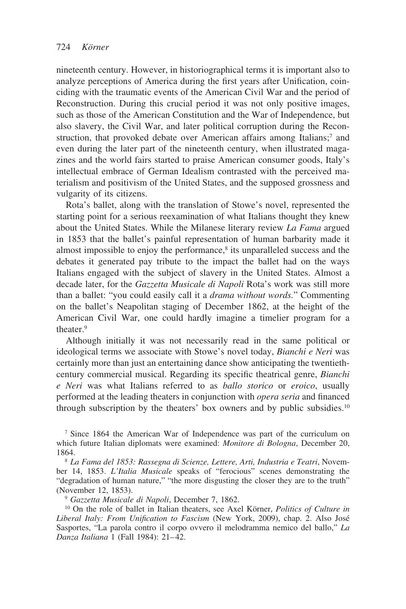nineteenth century. However, in historiographical terms it is important also to analyze perceptions of America during the first years after Unification, coinciding with the traumatic events of the American Civil War and the period of Reconstruction. During this crucial period it was not only positive images, such as those of the American Constitution and the War of Independence, but also slavery, the Civil War, and later political corruption during the Reconstruction, that provoked debate over American affairs among Italians;<sup>7</sup> and even during the later part of the nineteenth century, when illustrated magazines and the world fairs started to praise American consumer goods, Italy's intellectual embrace of German Idealism contrasted with the perceived materialism and positivism of the United States, and the supposed grossness and vulgarity of its citizens.

Rota's ballet, along with the translation of Stowe's novel, represented the starting point for a serious reexamination of what Italians thought they knew about the United States. While the Milanese literary review *La Fama* argued in 1853 that the ballet's painful representation of human barbarity made it almost impossible to enjoy the performance,<sup>8</sup> its unparalleled success and the debates it generated pay tribute to the impact the ballet had on the ways Italians engaged with the subject of slavery in the United States. Almost a decade later, for the *Gazzetta Musicale di Napoli* Rota's work was still more than a ballet: "you could easily call it a *drama without words.*" Commenting on the ballet's Neapolitan staging of December 1862, at the height of the American Civil War, one could hardly imagine a timelier program for a theater<sup>9</sup>

Although initially it was not necessarily read in the same political or ideological terms we associate with Stowe's novel today, *Bianchi e Neri* was certainly more than just an entertaining dance show anticipating the twentiethcentury commercial musical. Regarding its specific theatrical genre, *Bianchi e Neri* was what Italians referred to as *ballo storico* or *eroico*, usually performed at the leading theaters in conjunction with *opera seria* and financed through subscription by the theaters' box owners and by public subsidies.10

<sup>9</sup> *Gazzetta Musicale di Napoli*, December 7, 1862.

<sup>10</sup> On the role of ballet in Italian theaters, see Axel Körner, *Politics of Culture in Liberal Italy: From Unification to Fascism* (New York, 2009), chap. 2. Also José Sasportes, "La parola contro il corpo ovvero il melodramma nemico del ballo," *La Danza Italiana* 1 (Fall 1984): 21–42.

<sup>7</sup> Since 1864 the American War of Independence was part of the curriculum on which future Italian diplomats were examined: *Monitore di Bologna*, December 20, 1864.

<sup>8</sup> *La Fama del 1853: Rassegna di Scienze, Lettere, Arti, Industria e Teatri*, November 14, 1853. *L'Italia Musicale* speaks of "ferocious" scenes demonstrating the "degradation of human nature," "the more disgusting the closer they are to the truth" (November 12, 1853).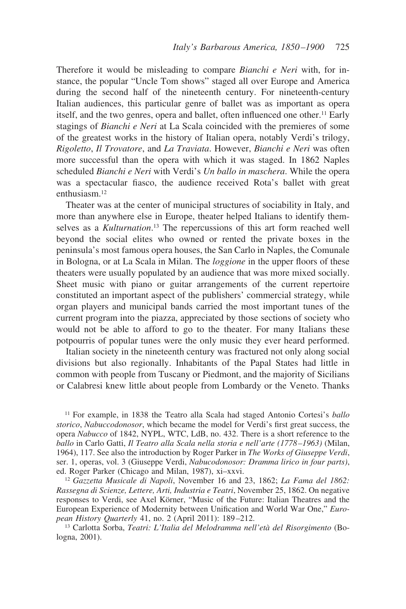Therefore it would be misleading to compare *Bianchi e Neri* with, for instance, the popular "Uncle Tom shows" staged all over Europe and America during the second half of the nineteenth century. For nineteenth-century Italian audiences, this particular genre of ballet was as important as opera itself, and the two genres, opera and ballet, often influenced one other.<sup>11</sup> Early stagings of *Bianchi e Neri* at La Scala coincided with the premieres of some of the greatest works in the history of Italian opera, notably Verdi's trilogy, *Rigoletto*, *Il Trovatore*, and *La Traviata*. However, *Bianchi e Neri* was often more successful than the opera with which it was staged. In 1862 Naples scheduled *Bianchi e Neri* with Verdi's *Un ballo in maschera*. While the opera was a spectacular fiasco, the audience received Rota's ballet with great enthusiasm<sup>12</sup>

Theater was at the center of municipal structures of sociability in Italy, and more than anywhere else in Europe, theater helped Italians to identify themselves as a *Kulturnation*. <sup>13</sup> The repercussions of this art form reached well beyond the social elites who owned or rented the private boxes in the peninsula's most famous opera houses, the San Carlo in Naples, the Comunale in Bologna, or at La Scala in Milan. The *loggione* in the upper floors of these theaters were usually populated by an audience that was more mixed socially. Sheet music with piano or guitar arrangements of the current repertoire constituted an important aspect of the publishers' commercial strategy, while organ players and municipal bands carried the most important tunes of the current program into the piazza, appreciated by those sections of society who would not be able to afford to go to the theater. For many Italians these potpourris of popular tunes were the only music they ever heard performed.

Italian society in the nineteenth century was fractured not only along social divisions but also regionally. Inhabitants of the Papal States had little in common with people from Tuscany or Piedmont, and the majority of Sicilians or Calabresi knew little about people from Lombardy or the Veneto. Thanks

<sup>11</sup> For example, in 1838 the Teatro alla Scala had staged Antonio Cortesi's *ballo storico*, *Nabuccodonosor*, which became the model for Verdi's first great success, the opera *Nabucco* of 1842, NYPL, WTC, LdB, no. 432. There is a short reference to the *ballo* in Carlo Gatti, *Il Teatro alla Scala nella storia e nell'arte (1778–1963)* (Milan, 1964), 117. See also the introduction by Roger Parker in *The Works of Giuseppe Verdi*, ser. 1, operas, vol. 3 (Giuseppe Verdi, *Nabucodonosor: Dramma lirico in four parts)*, ed. Roger Parker (Chicago and Milan, 1987), xi–xxvi.

<sup>12</sup> *Gazzetta Musicale di Napoli*, November 16 and 23, 1862; *La Fama del 1862: Rassegna di Scienze, Lettere, Arti, Industria e Teatri*, November 25, 1862. On negative responses to Verdi, see Axel Körner, "Music of the Future: Italian Theatres and the European Experience of Modernity between Unification and World War One," *European History Quarterly* 41, no. 2 (April 2011): 189–212.

<sup>13</sup> Carlotta Sorba, *Teatri: L'Italia del Melodramma nell'età del Risorgimento* (Bologna, 2001).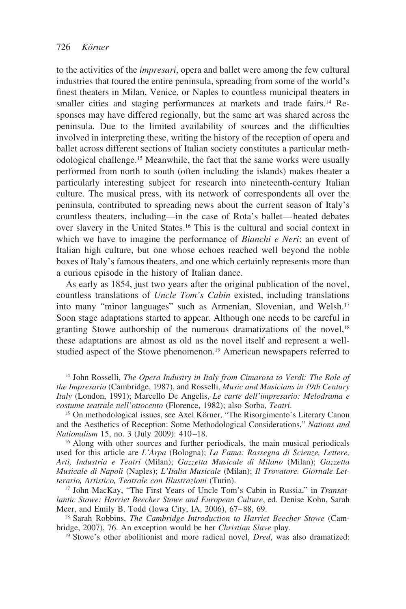to the activities of the *impresari*, opera and ballet were among the few cultural industries that toured the entire peninsula, spreading from some of the world's finest theaters in Milan, Venice, or Naples to countless municipal theaters in smaller cities and staging performances at markets and trade fairs.<sup>14</sup> Responses may have differed regionally, but the same art was shared across the peninsula. Due to the limited availability of sources and the difficulties involved in interpreting these, writing the history of the reception of opera and ballet across different sections of Italian society constitutes a particular methodological challenge.15 Meanwhile, the fact that the same works were usually performed from north to south (often including the islands) makes theater a particularly interesting subject for research into nineteenth-century Italian culture. The musical press, with its network of correspondents all over the peninsula, contributed to spreading news about the current season of Italy's countless theaters, including—in the case of Rota's ballet—heated debates over slavery in the United States.16 This is the cultural and social context in which we have to imagine the performance of *Bianchi e Neri*: an event of Italian high culture, but one whose echoes reached well beyond the noble boxes of Italy's famous theaters, and one which certainly represents more than a curious episode in the history of Italian dance.

As early as 1854, just two years after the original publication of the novel, countless translations of *Uncle Tom's Cabin* existed, including translations into many "minor languages" such as Armenian, Slovenian, and Welsh.17 Soon stage adaptations started to appear. Although one needs to be careful in granting Stowe authorship of the numerous dramatizations of the novel,<sup>18</sup> these adaptations are almost as old as the novel itself and represent a wellstudied aspect of the Stowe phenomenon.<sup>19</sup> American newspapers referred to

<sup>14</sup> John Rosselli, *The Opera Industry in Italy from Cimarosa to Verdi: The Role of the Impresario* (Cambridge, 1987), and Rosselli, *Music and Musicians in 19th Century Italy* (London, 1991); Marcello De Angelis, *Le carte dell'impresario: Melodrama e costume teatrale nell'ottocento* (Florence, 1982); also Sorba, *Teatri*.

<sup>15</sup> On methodological issues, see Axel Körner, "The Risorgimento's Literary Canon and the Aesthetics of Reception: Some Methodological Considerations," *Nations and Nationalism* 15, no. 3 (July 2009): 410–18.

<sup>16</sup> Along with other sources and further periodicals, the main musical periodicals used for this article are *L'Arpa* (Bologna); *La Fama: Rassegna di Scienze, Lettere, Arti, Industria e Teatri* (Milan); *Gazzetta Musicale di Milano* (Milan); *Gazzetta Musicale di Napoli* (Naples); *L'Italia Musicale* (Milan); *Il Trovatore. Giornale Letterario, Artistico, Teatrale con Illustrazioni* (Turin).

<sup>17</sup> John MacKay, "The First Years of Uncle Tom's Cabin in Russia," in *Transatlantic Stowe: Harriet Beecher Stowe and European Culture*, ed. Denise Kohn, Sarah Meer, and Emily B. Todd (Iowa City, IA, 2006), 67–88, 69.

<sup>18</sup> Sarah Robbins, *The Cambridge Introduction to Harriet Beecher Stowe* (Cambridge, 2007), 76. An exception would be her *Christian Slave* play.

<sup>19</sup> Stowe's other abolitionist and more radical novel, *Dred*, was also dramatized: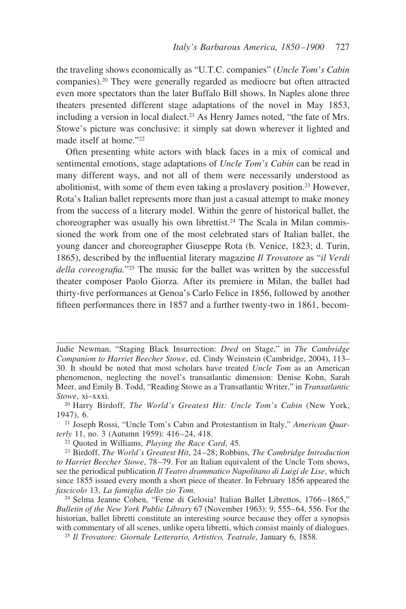the traveling shows economically as "U.T.C. companies" (*Uncle Tom's Cabin* companies).20 They were generally regarded as mediocre but often attracted even more spectators than the later Buffalo Bill shows. In Naples alone three theaters presented different stage adaptations of the novel in May 1853, including a version in local dialect.<sup>21</sup> As Henry James noted, "the fate of Mrs. Stowe's picture was conclusive: it simply sat down wherever it lighted and made itself at home."22

Often presenting white actors with black faces in a mix of comical and sentimental emotions, stage adaptations of *Uncle Tom's Cabin* can be read in many different ways, and not all of them were necessarily understood as abolitionist, with some of them even taking a proslavery position.<sup>23</sup> However, Rota's Italian ballet represents more than just a casual attempt to make money from the success of a literary model. Within the genre of historical ballet, the choreographer was usually his own librettist.<sup>24</sup> The Scala in Milan commissioned the work from one of the most celebrated stars of Italian ballet, the young dancer and choreographer Giuseppe Rota (b. Venice, 1823; d. Turin, 1865), described by the influential literary magazine *Il Trovatore* as "*il Verdi della coreografia.*"25 The music for the ballet was written by the successful theater composer Paolo Giorza. After its premiere in Milan, the ballet had thirty-five performances at Genoa's Carlo Felice in 1856, followed by another fifteen performances there in 1857 and a further twenty-two in 1861, becom-

<sup>21</sup> Joseph Rossi, "Uncle Tom's Cabin and Protestantism in Italy," *American Quarterly* 11, no. 3 (Autumn 1959): 416–24, 418.

Judie Newman, "Staging Black Insurrection: *Dred* on Stage," in *The Cambridge Companion to Harriet Beecher Stowe*, ed. Cindy Weinstein (Cambridge, 2004), 113– 30. It should be noted that most scholars have treated *Uncle Tom* as an American phenomenon, neglecting the novel's transatlantic dimension: Denise Kohn, Sarah Meer, and Emily B. Todd, "Reading Stowe as a Transatlantic Writer," in *Transatlantic Stowe*, xi–xxxi.

<sup>20</sup> Harry Birdoff, *The World's Greatest Hit: Uncle Tom's Cabin* (New York, 1947), 6.

<sup>22</sup> Quoted in Williams, *Playing the Race Card*, 45.

<sup>23</sup> Birdoff, *The World's Greatest Hit*, 24–28; Robbins, *The Cambridge Introduction to Harriet Beecher Stowe*, 78–79. For an Italian equivalent of the Uncle Tom shows, see the periodical publication *Il Teatro drammatico Napolitano di Luigi de Lise*, which since 1855 issued every month a short piece of theater. In February 1856 appeared the *fascicolo* 13, *La famiglia dello zio Tom*.

<sup>24</sup> Selma Jeanne Cohen, "Feme di Gelosia! Italian Ballet Librettos, 1766–1865," *Bulletin of the New York Public Library* 67 (November 1963): 9, 555–64, 556. For the historian, ballet libretti constitute an interesting source because they offer a synopsis with commentary of all scenes, unlike opera libretti, which consist mainly of dialogues.

<sup>25</sup> *Il Trovatore: Giornale Letterario, Artistico, Teatrale*, January 6, 1858.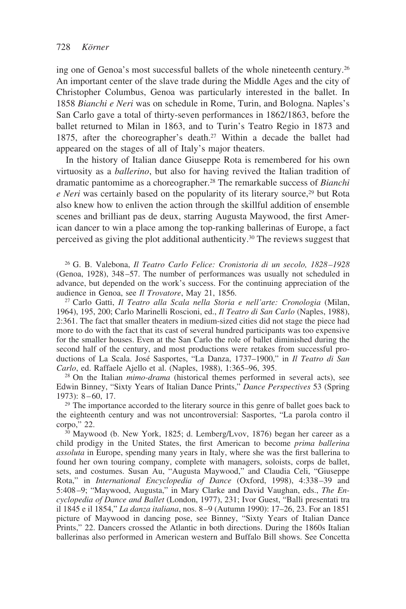ing one of Genoa's most successful ballets of the whole nineteenth century.26 An important center of the slave trade during the Middle Ages and the city of Christopher Columbus, Genoa was particularly interested in the ballet. In 1858 *Bianchi e Neri* was on schedule in Rome, Turin, and Bologna. Naples's San Carlo gave a total of thirty-seven performances in 1862/1863, before the ballet returned to Milan in 1863, and to Turin's Teatro Regio in 1873 and 1875, after the choreographer's death.<sup>27</sup> Within a decade the ballet had appeared on the stages of all of Italy's major theaters.

In the history of Italian dance Giuseppe Rota is remembered for his own virtuosity as a *ballerino*, but also for having revived the Italian tradition of dramatic pantomime as a choreographer.28 The remarkable success of *Bianchi e Neri* was certainly based on the popularity of its literary source,<sup>29</sup> but Rota also knew how to enliven the action through the skillful addition of ensemble scenes and brilliant pas de deux, starring Augusta Maywood, the first American dancer to win a place among the top-ranking ballerinas of Europe, a fact perceived as giving the plot additional authenticity.30 The reviews suggest that

<sup>26</sup> G. B. Valebona, *Il Teatro Carlo Felice: Cronistoria di un secolo, 1828–1928* (Genoa, 1928), 348–57. The number of performances was usually not scheduled in advance, but depended on the work's success. For the continuing appreciation of the audience in Genoa, see *Il Trovatore*, May 21, 1856.

<sup>27</sup> Carlo Gatti, *Il Teatro alla Scala nella Storia e nell'arte: Cronologia* (Milan, 1964), 195, 200; Carlo Marinelli Roscioni, ed., *Il Teatro di San Carlo* (Naples, 1988), 2:361. The fact that smaller theaters in medium-sized cities did not stage the piece had more to do with the fact that its cast of several hundred participants was too expensive for the smaller houses. Even at the San Carlo the role of ballet diminished during the second half of the century, and most productions were retakes from successful productions of La Scala. José Sasportes, "La Danza, 1737–1900," in *Il Teatro di San Carlo*, ed. Raffaele Ajello et al. (Naples, 1988), 1:365–96, 395.

<sup>28</sup> On the Italian *mimo-drama* (historical themes performed in several acts), see Edwin Binney, "Sixty Years of Italian Dance Prints," *Dance Perspectives* 53 (Spring 1973): 8–60, 17.

<sup>29</sup> The importance accorded to the literary source in this genre of ballet goes back to the eighteenth century and was not uncontroversial: Sasportes, "La parola contro il corpo," 22.

 $30$  Maywood (b. New York, 1825; d. Lemberg/Lvov, 1876) began her career as a child prodigy in the United States, the first American to become *prima ballerina assoluta* in Europe, spending many years in Italy, where she was the first ballerina to found her own touring company, complete with managers, soloists, corps de ballet, sets, and costumes. Susan Au, "Augusta Maywood," and Claudia Celi, "Giuseppe Rota," in *International Encyclopedia of Dance* (Oxford, 1998), 4:338–39 and 5:408–9; "Maywood, Augusta," in Mary Clarke and David Vaughan, eds., *The Encyclopedia of Dance and Ballet* (London, 1977), 231; Ivor Guest, "Balli presentati tra il 1845 e il 1854," *La danza italiana*, nos. 8–9 (Autumn 1990): 17–26, 23. For an 1851 picture of Maywood in dancing pose, see Binney, "Sixty Years of Italian Dance Prints," 22. Dancers crossed the Atlantic in both directions. During the 1860s Italian ballerinas also performed in American western and Buffalo Bill shows. See Concetta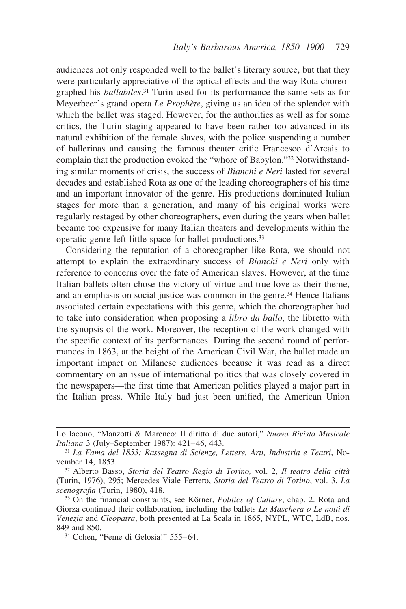audiences not only responded well to the ballet's literary source, but that they were particularly appreciative of the optical effects and the way Rota choreographed his *ballabiles*. <sup>31</sup> Turin used for its performance the same sets as for Meyerbeer's grand opera *Le Prophète*, giving us an idea of the splendor with which the ballet was staged. However, for the authorities as well as for some critics, the Turin staging appeared to have been rather too advanced in its natural exhibition of the female slaves, with the police suspending a number of ballerinas and causing the famous theater critic Francesco d'Arcais to complain that the production evoked the "whore of Babylon."32 Notwithstanding similar moments of crisis, the success of *Bianchi e Neri* lasted for several decades and established Rota as one of the leading choreographers of his time and an important innovator of the genre. His productions dominated Italian stages for more than a generation, and many of his original works were regularly restaged by other choreographers, even during the years when ballet became too expensive for many Italian theaters and developments within the operatic genre left little space for ballet productions.33

Considering the reputation of a choreographer like Rota, we should not attempt to explain the extraordinary success of *Bianchi e Neri* only with reference to concerns over the fate of American slaves. However, at the time Italian ballets often chose the victory of virtue and true love as their theme, and an emphasis on social justice was common in the genre.<sup>34</sup> Hence Italians associated certain expectations with this genre, which the choreographer had to take into consideration when proposing a *libro da ballo*, the libretto with the synopsis of the work. Moreover, the reception of the work changed with the specific context of its performances. During the second round of performances in 1863, at the height of the American Civil War, the ballet made an important impact on Milanese audiences because it was read as a direct commentary on an issue of international politics that was closely covered in the newspapers—the first time that American politics played a major part in the Italian press. While Italy had just been unified, the American Union

Lo Iacono, "Manzotti & Marenco: Il diritto di due autori," *Nuova Rivista Musicale Italiana* 3 (July–September 1987): 421–46, 443.

<sup>31</sup> *La Fama del 1853: Rassegna di Scienze, Lettere, Arti, Industria e Teatri*, November 14, 1853.

<sup>32</sup> Alberto Basso, *Storia del Teatro Regio di Torino,* vol. 2, *Il teatro della città* (Turin, 1976), 295; Mercedes Viale Ferrero, *Storia del Teatro di Torino*, vol. 3, *La scenografia* (Turin, 1980), 418.

<sup>33</sup> On the financial constraints, see Körner, *Politics of Culture*, chap. 2. Rota and Giorza continued their collaboration, including the ballets *La Maschera o Le notti di Venezia* and *Cleopatra*, both presented at La Scala in 1865, NYPL, WTC, LdB, nos. 849 and 850.

<sup>34</sup> Cohen, "Feme di Gelosia!" 555–64.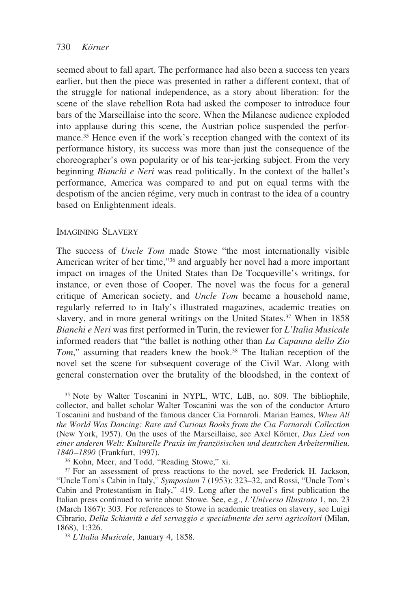seemed about to fall apart. The performance had also been a success ten years earlier, but then the piece was presented in rather a different context, that of the struggle for national independence, as a story about liberation: for the scene of the slave rebellion Rota had asked the composer to introduce four bars of the Marseillaise into the score. When the Milanese audience exploded into applause during this scene, the Austrian police suspended the performance.<sup>35</sup> Hence even if the work's reception changed with the context of its performance history, its success was more than just the consequence of the choreographer's own popularity or of his tear-jerking subject. From the very beginning *Bianchi e Neri* was read politically. In the context of the ballet's performance, America was compared to and put on equal terms with the despotism of the ancien régime, very much in contrast to the idea of a country based on Enlightenment ideals.

## IMAGINING SLAVERY

The success of *Uncle Tom* made Stowe "the most internationally visible American writer of her time,"36 and arguably her novel had a more important impact on images of the United States than De Tocqueville's writings, for instance, or even those of Cooper. The novel was the focus for a general critique of American society, and *Uncle Tom* became a household name, regularly referred to in Italy's illustrated magazines, academic treaties on slavery, and in more general writings on the United States.<sup>37</sup> When in 1858 *Bianchi e Neri* was first performed in Turin, the reviewer for *L'Italia Musicale* informed readers that "the ballet is nothing other than *La Capanna dello Zio Tom*," assuming that readers knew the book.<sup>38</sup> The Italian reception of the novel set the scene for subsequent coverage of the Civil War. Along with general consternation over the brutality of the bloodshed, in the context of

<sup>35</sup> Note by Walter Toscanini in NYPL, WTC, LdB, no. 809. The bibliophile, collector, and ballet scholar Walter Toscanini was the son of the conductor Arturo Toscanini and husband of the famous dancer Cia Fornaroli. Marian Eames, *When All the World Was Dancing: Rare and Curious Books from the Cia Fornaroli Collection* (New York, 1957). On the uses of the Marseillaise, see Axel Körner, *Das Lied von einer anderen Welt: Kulturelle Praxis im französischen und deutschen Arbeitermilieu, 1840–1890* (Frankfurt, 1997).

<sup>36</sup> Kohn, Meer, and Todd, "Reading Stowe," xi.

<sup>37</sup> For an assessment of press reactions to the novel, see Frederick H. Jackson, "Uncle Tom's Cabin in Italy," *Symposium* 7 (1953): 323–32, and Rossi, "Uncle Tom's Cabin and Protestantism in Italy," 419. Long after the novel's first publication the Italian press continued to write about Stowe. See, e.g., *L'Universo Illustrato* 1, no. 23 (March 1867): 303. For references to Stowe in academic treaties on slavery, see Luigi Cibrario, *Della Schiavitù e del servaggio e specialmente dei servi agricoltori* (Milan, 1868), 1:326.

<sup>38</sup> *L'Italia Musicale*, January 4, 1858.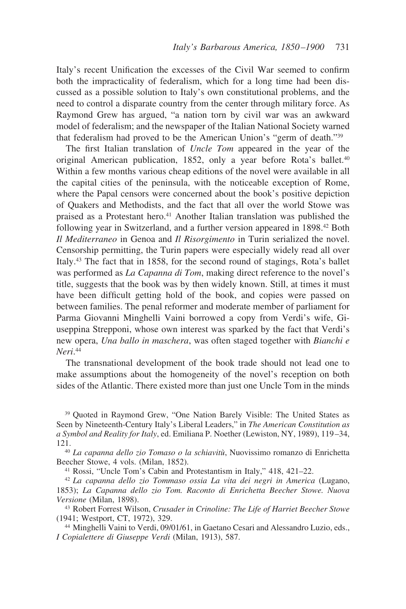Italy's recent Unification the excesses of the Civil War seemed to confirm both the impracticality of federalism, which for a long time had been discussed as a possible solution to Italy's own constitutional problems, and the need to control a disparate country from the center through military force. As Raymond Grew has argued, "a nation torn by civil war was an awkward model of federalism; and the newspaper of the Italian National Society warned that federalism had proved to be the American Union's "germ of death."39

The first Italian translation of *Uncle Tom* appeared in the year of the original American publication, 1852, only a year before Rota's ballet.<sup>40</sup> Within a few months various cheap editions of the novel were available in all the capital cities of the peninsula, with the noticeable exception of Rome, where the Papal censors were concerned about the book's positive depiction of Quakers and Methodists, and the fact that all over the world Stowe was praised as a Protestant hero.<sup>41</sup> Another Italian translation was published the following year in Switzerland, and a further version appeared in 1898.<sup>42</sup> Both *Il Mediterraneo* in Genoa and *Il Risorgimento* in Turin serialized the novel. Censorship permitting, the Turin papers were especially widely read all over Italy.43 The fact that in 1858, for the second round of stagings, Rota's ballet was performed as *La Capanna di Tom*, making direct reference to the novel's title, suggests that the book was by then widely known. Still, at times it must have been difficult getting hold of the book, and copies were passed on between families. The penal reformer and moderate member of parliament for Parma Giovanni Minghelli Vaini borrowed a copy from Verdi's wife, Giuseppina Strepponi, whose own interest was sparked by the fact that Verdi's new opera, *Una ballo in maschera*, was often staged together with *Bianchi e Neri*. 44

The transnational development of the book trade should not lead one to make assumptions about the homogeneity of the novel's reception on both sides of the Atlantic. There existed more than just one Uncle Tom in the minds

<sup>39</sup> Quoted in Raymond Grew, "One Nation Barely Visible: The United States as Seen by Nineteenth-Century Italy's Liberal Leaders," in *The American Constitution as a Symbol and Reality for Italy*, ed. Emiliana P. Noether (Lewiston, NY, 1989), 119–34, 121.

<sup>40</sup> *La capanna dello zio Tomaso o la schiavitù*, Nuovissimo romanzo di Enrichetta Beecher Stowe, 4 vols. (Milan, 1852).

<sup>41</sup> Rossi, "Uncle Tom's Cabin and Protestantism in Italy," 418, 421–22.

<sup>42</sup> *La capanna dello zio Tommaso ossia La vita dei negri in America* (Lugano, 1853); *La Capanna dello zio Tom. Raconto di Enrichetta Beecher Stowe. Nuova Versione* (Milan, 1898).

<sup>43</sup> Robert Forrest Wilson, *Crusader in Crinoline: The Life of Harriet Beecher Stowe* (1941; Westport, CT, 1972), 329.

<sup>44</sup> Minghelli Vaini to Verdi, 09/01/61, in Gaetano Cesari and Alessandro Luzio, eds., *I Copialettere di Giuseppe Verdi* (Milan, 1913), 587.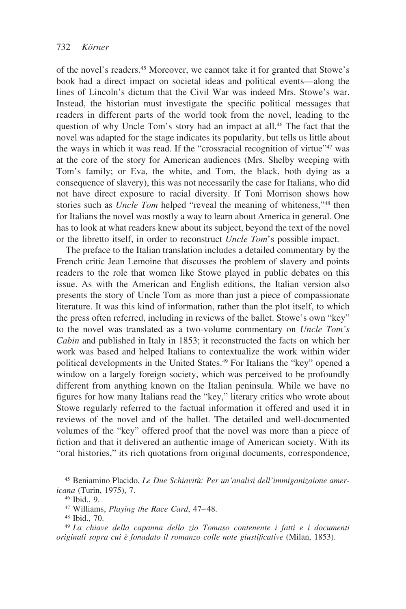of the novel's readers.45 Moreover, we cannot take it for granted that Stowe's book had a direct impact on societal ideas and political events—along the lines of Lincoln's dictum that the Civil War was indeed Mrs. Stowe's war. Instead, the historian must investigate the specific political messages that readers in different parts of the world took from the novel, leading to the question of why Uncle Tom's story had an impact at all.<sup>46</sup> The fact that the novel was adapted for the stage indicates its popularity, but tells us little about the ways in which it was read. If the "crossracial recognition of virtue"47 was at the core of the story for American audiences (Mrs. Shelby weeping with Tom's family; or Eva, the white, and Tom, the black, both dying as a consequence of slavery), this was not necessarily the case for Italians, who did not have direct exposure to racial diversity. If Toni Morrison shows how stories such as *Uncle Tom* helped "reveal the meaning of whiteness,"48 then for Italians the novel was mostly a way to learn about America in general. One has to look at what readers knew about its subject, beyond the text of the novel or the libretto itself, in order to reconstruct *Uncle Tom*'s possible impact.

The preface to the Italian translation includes a detailed commentary by the French critic Jean Lemoine that discusses the problem of slavery and points readers to the role that women like Stowe played in public debates on this issue. As with the American and English editions, the Italian version also presents the story of Uncle Tom as more than just a piece of compassionate literature. It was this kind of information, rather than the plot itself, to which the press often referred, including in reviews of the ballet. Stowe's own "key" to the novel was translated as a two-volume commentary on *Uncle Tom's Cabin* and published in Italy in 1853; it reconstructed the facts on which her work was based and helped Italians to contextualize the work within wider political developments in the United States.49 For Italians the "key" opened a window on a largely foreign society, which was perceived to be profoundly different from anything known on the Italian peninsula. While we have no figures for how many Italians read the "key," literary critics who wrote about Stowe regularly referred to the factual information it offered and used it in reviews of the novel and of the ballet. The detailed and well-documented volumes of the "key" offered proof that the novel was more than a piece of fiction and that it delivered an authentic image of American society. With its "oral histories," its rich quotations from original documents, correspondence,

<sup>45</sup> Beniamino Placido, *Le Due Schiavitù: Per un'analisi dell'immiganizaione americana* (Turin, 1975), 7.

<sup>46</sup> Ibid., 9.

<sup>47</sup> Williams, *Playing the Race Card*, 47–48.

<sup>49</sup> *La chiave della capanna dello zio Tomaso contenente i fatti e i documenti originali sopra cui è fonadato il romanzo colle note giustificative* (Milan, 1853).

<sup>48</sup> Ibid., 70.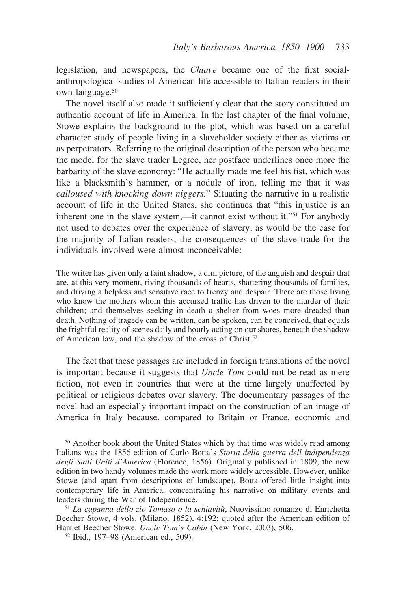legislation, and newspapers, the *Chiave* became one of the first socialanthropological studies of American life accessible to Italian readers in their own language.50

The novel itself also made it sufficiently clear that the story constituted an authentic account of life in America. In the last chapter of the final volume, Stowe explains the background to the plot, which was based on a careful character study of people living in a slaveholder society either as victims or as perpetrators. Referring to the original description of the person who became the model for the slave trader Legree, her postface underlines once more the barbarity of the slave economy: "He actually made me feel his fist, which was like a blacksmith's hammer, or a nodule of iron, telling me that it was *calloused with knocking down niggers.*" Situating the narrative in a realistic account of life in the United States, she continues that "this injustice is an inherent one in the slave system,—it cannot exist without it."51 For anybody not used to debates over the experience of slavery, as would be the case for the majority of Italian readers, the consequences of the slave trade for the individuals involved were almost inconceivable:

The writer has given only a faint shadow, a dim picture, of the anguish and despair that are, at this very moment, riving thousands of hearts, shattering thousands of families, and driving a helpless and sensitive race to frenzy and despair. There are those living who know the mothers whom this accursed traffic has driven to the murder of their children; and themselves seeking in death a shelter from woes more dreaded than death. Nothing of tragedy can be written, can be spoken, can be conceived, that equals the frightful reality of scenes daily and hourly acting on our shores, beneath the shadow of American law, and the shadow of the cross of Christ.52

The fact that these passages are included in foreign translations of the novel is important because it suggests that *Uncle Tom* could not be read as mere fiction, not even in countries that were at the time largely unaffected by political or religious debates over slavery. The documentary passages of the novel had an especially important impact on the construction of an image of America in Italy because, compared to Britain or France, economic and

<sup>50</sup> Another book about the United States which by that time was widely read among Italians was the 1856 edition of Carlo Botta's *Storia della guerra dell indipendenza degli Stati Uniti d'America* (Florence, 1856). Originally published in 1809, the new edition in two handy volumes made the work more widely accessible. However, unlike Stowe (and apart from descriptions of landscape), Botta offered little insight into contemporary life in America, concentrating his narrative on military events and leaders during the War of Independence.

<sup>51</sup> *La capanna dello zio Tomaso o la schiavitù*, Nuovissimo romanzo di Enrichetta Beecher Stowe, 4 vols. (Milano, 1852), 4:192; quoted after the American edition of Harriet Beecher Stowe, *Uncle Tom's Cabin* (New York, 2003), 506.

<sup>52</sup> Ibid., 197–98 (American ed., 509).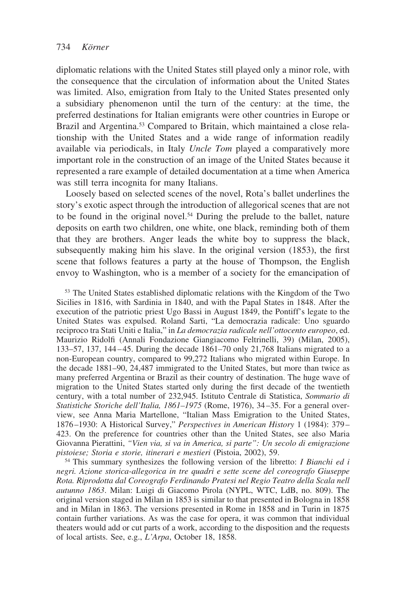diplomatic relations with the United States still played only a minor role, with the consequence that the circulation of information about the United States was limited. Also, emigration from Italy to the United States presented only a subsidiary phenomenon until the turn of the century: at the time, the preferred destinations for Italian emigrants were other countries in Europe or Brazil and Argentina.<sup>53</sup> Compared to Britain, which maintained a close relationship with the United States and a wide range of information readily available via periodicals, in Italy *Uncle Tom* played a comparatively more important role in the construction of an image of the United States because it represented a rare example of detailed documentation at a time when America was still terra incognita for many Italians.

Loosely based on selected scenes of the novel, Rota's ballet underlines the story's exotic aspect through the introduction of allegorical scenes that are not to be found in the original novel.<sup>54</sup> During the prelude to the ballet, nature deposits on earth two children, one white, one black, reminding both of them that they are brothers. Anger leads the white boy to suppress the black, subsequently making him his slave. In the original version (1853), the first scene that follows features a party at the house of Thompson, the English envoy to Washington, who is a member of a society for the emancipation of

<sup>53</sup> The United States established diplomatic relations with the Kingdom of the Two Sicilies in 1816, with Sardinia in 1840, and with the Papal States in 1848. After the execution of the patriotic priest Ugo Bassi in August 1849, the Pontiff's legate to the United States was expulsed. Roland Sarti, "La democrazia radicale: Uno sguardo reciproco tra Stati Uniti e Italia," in *La democrazia radicale nell'ottocento europeo*, ed. Maurizio Ridolfi (Annali Fondazione Giangiacomo Feltrinelli, 39) (Milan, 2005), 133–57, 137, 144–45. During the decade 1861–70 only 21,768 Italians migrated to a non-European country, compared to 99,272 Italians who migrated within Europe. In the decade 1881–90, 24,487 immigrated to the United States, but more than twice as many preferred Argentina or Brazil as their country of destination. The huge wave of migration to the United States started only during the first decade of the twentieth century, with a total number of 232,945. Istituto Centrale di Statistica, *Sommario di Statistiche Storiche dell'Italia, 1861–1975* (Rome, 1976), 34–35. For a general overview, see Anna Maria Martellone, "Italian Mass Emigration to the United States, 1876–1930: A Historical Survey," *Perspectives in American History* 1 (1984): 379– 423. On the preference for countries other than the United States, see also Maria Giovanna Pierattini, *"Vien via, si va in America, si parte": Un secolo di emigrazione pistoiese; Storia e storie, itinerari e mestieri* (Pistoia, 2002), 59.

<sup>54</sup> This summary synthesizes the following version of the libretto: *I Bianchi ed i negri. Azione storica-allegorica in tre quadri e sette scene del coreografo Giuseppe Rota. Riprodotta dal Coreografo Ferdinando Pratesi nel Regio Teatro della Scala nell autunno 1863*. Milan: Luigi di Giacomo Pirola (NYPL, WTC, LdB, no. 809). The original version staged in Milan in 1853 is similar to that presented in Bologna in 1858 and in Milan in 1863. The versions presented in Rome in 1858 and in Turin in 1875 contain further variations. As was the case for opera, it was common that individual theaters would add or cut parts of a work, according to the disposition and the requests of local artists. See, e.g., *L'Arpa*, October 18, 1858.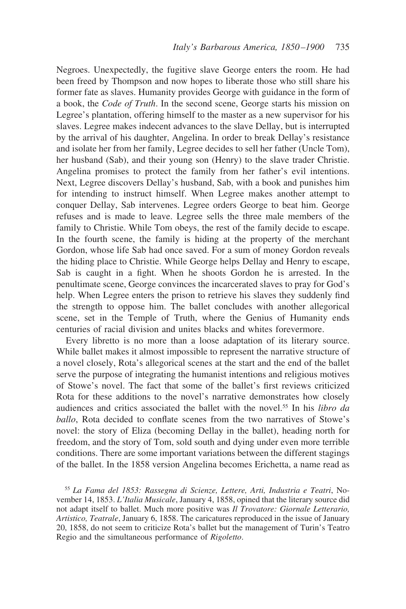Negroes. Unexpectedly, the fugitive slave George enters the room. He had been freed by Thompson and now hopes to liberate those who still share his former fate as slaves. Humanity provides George with guidance in the form of a book, the *Code of Truth*. In the second scene, George starts his mission on Legree's plantation, offering himself to the master as a new supervisor for his slaves. Legree makes indecent advances to the slave Dellay, but is interrupted by the arrival of his daughter, Angelina. In order to break Dellay's resistance and isolate her from her family, Legree decides to sell her father (Uncle Tom), her husband (Sab), and their young son (Henry) to the slave trader Christie. Angelina promises to protect the family from her father's evil intentions. Next, Legree discovers Dellay's husband, Sab, with a book and punishes him for intending to instruct himself. When Legree makes another attempt to conquer Dellay, Sab intervenes. Legree orders George to beat him. George refuses and is made to leave. Legree sells the three male members of the family to Christie. While Tom obeys, the rest of the family decide to escape. In the fourth scene, the family is hiding at the property of the merchant Gordon, whose life Sab had once saved. For a sum of money Gordon reveals the hiding place to Christie. While George helps Dellay and Henry to escape, Sab is caught in a fight. When he shoots Gordon he is arrested. In the penultimate scene, George convinces the incarcerated slaves to pray for God's help. When Legree enters the prison to retrieve his slaves they suddenly find the strength to oppose him. The ballet concludes with another allegorical scene, set in the Temple of Truth, where the Genius of Humanity ends centuries of racial division and unites blacks and whites forevermore.

Every libretto is no more than a loose adaptation of its literary source. While ballet makes it almost impossible to represent the narrative structure of a novel closely, Rota's allegorical scenes at the start and the end of the ballet serve the purpose of integrating the humanist intentions and religious motives of Stowe's novel. The fact that some of the ballet's first reviews criticized Rota for these additions to the novel's narrative demonstrates how closely audiences and critics associated the ballet with the novel.55 In his *libro da ballo*, Rota decided to conflate scenes from the two narratives of Stowe's novel: the story of Eliza (becoming Dellay in the ballet), heading north for freedom, and the story of Tom, sold south and dying under even more terrible conditions. There are some important variations between the different stagings of the ballet. In the 1858 version Angelina becomes Erichetta, a name read as

<sup>55</sup> *La Fama del 1853: Rassegna di Scienze, Lettere, Arti, Industria e Teatri*, November 14, 1853. *L'Italia Musicale*, January 4, 1858, opined that the literary source did not adapt itself to ballet. Much more positive was *Il Trovatore: Giornale Letterario, Artistico, Teatrale*, January 6, 1858. The caricatures reproduced in the issue of January 20, 1858, do not seem to criticize Rota's ballet but the management of Turin's Teatro Regio and the simultaneous performance of *Rigoletto*.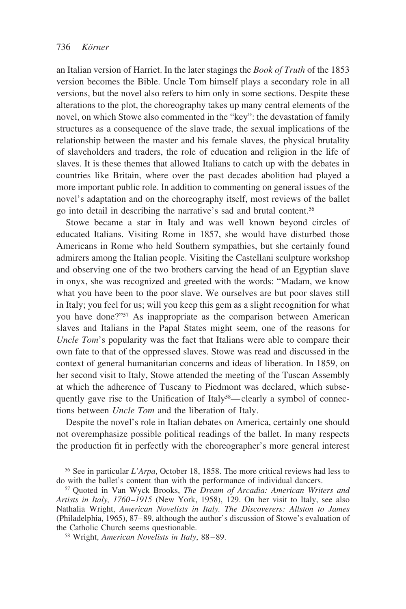an Italian version of Harriet. In the later stagings the *Book of Truth* of the 1853 version becomes the Bible. Uncle Tom himself plays a secondary role in all versions, but the novel also refers to him only in some sections. Despite these alterations to the plot, the choreography takes up many central elements of the novel, on which Stowe also commented in the "key": the devastation of family structures as a consequence of the slave trade, the sexual implications of the relationship between the master and his female slaves, the physical brutality of slaveholders and traders, the role of education and religion in the life of slaves. It is these themes that allowed Italians to catch up with the debates in countries like Britain, where over the past decades abolition had played a more important public role. In addition to commenting on general issues of the novel's adaptation and on the choreography itself, most reviews of the ballet go into detail in describing the narrative's sad and brutal content.56

Stowe became a star in Italy and was well known beyond circles of educated Italians. Visiting Rome in 1857, she would have disturbed those Americans in Rome who held Southern sympathies, but she certainly found admirers among the Italian people. Visiting the Castellani sculpture workshop and observing one of the two brothers carving the head of an Egyptian slave in onyx, she was recognized and greeted with the words: "Madam, we know what you have been to the poor slave. We ourselves are but poor slaves still in Italy; you feel for us; will you keep this gem as a slight recognition for what you have done?"57 As inappropriate as the comparison between American slaves and Italians in the Papal States might seem, one of the reasons for *Uncle Tom*'s popularity was the fact that Italians were able to compare their own fate to that of the oppressed slaves. Stowe was read and discussed in the context of general humanitarian concerns and ideas of liberation. In 1859, on her second visit to Italy, Stowe attended the meeting of the Tuscan Assembly at which the adherence of Tuscany to Piedmont was declared, which subsequently gave rise to the Unification of Italy<sup>58</sup>—clearly a symbol of connections between *Uncle Tom* and the liberation of Italy.

Despite the novel's role in Italian debates on America, certainly one should not overemphasize possible political readings of the ballet. In many respects the production fit in perfectly with the choreographer's more general interest

<sup>58</sup> Wright, *American Novelists in Italy*, 88–89.

<sup>56</sup> See in particular *L'Arpa*, October 18, 1858. The more critical reviews had less to do with the ballet's content than with the performance of individual dancers.

<sup>57</sup> Quoted in Van Wyck Brooks, *The Dream of Arcadia: American Writers and Artists in Italy, 1760–1915* (New York, 1958), 129. On her visit to Italy, see also Nathalia Wright, *American Novelists in Italy. The Discoverers: Allston to James* (Philadelphia, 1965), 87–89, although the author's discussion of Stowe's evaluation of the Catholic Church seems questionable.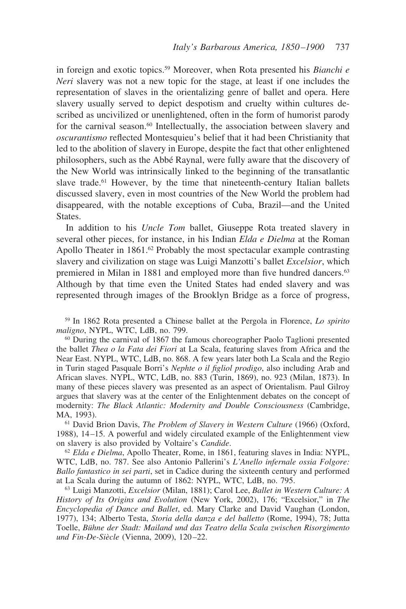in foreign and exotic topics.59 Moreover, when Rota presented his *Bianchi e Neri* slavery was not a new topic for the stage, at least if one includes the representation of slaves in the orientalizing genre of ballet and opera. Here slavery usually served to depict despotism and cruelty within cultures described as uncivilized or unenlightened, often in the form of humorist parody for the carnival season.<sup>60</sup> Intellectually, the association between slavery and *oscurantismo* reflected Montesquieu's belief that it had been Christianity that led to the abolition of slavery in Europe, despite the fact that other enlightened philosophers, such as the Abbé Raynal, were fully aware that the discovery of the New World was intrinsically linked to the beginning of the transatlantic slave trade.<sup>61</sup> However, by the time that nineteenth-century Italian ballets discussed slavery, even in most countries of the New World the problem had disappeared, with the notable exceptions of Cuba, Brazil—and the United States.

In addition to his *Uncle Tom* ballet, Giuseppe Rota treated slavery in several other pieces, for instance, in his Indian *Elda e Dielma* at the Roman Apollo Theater in 1861.<sup>62</sup> Probably the most spectacular example contrasting slavery and civilization on stage was Luigi Manzotti's ballet *Excelsior*, which premiered in Milan in 1881 and employed more than five hundred dancers.<sup>63</sup> Although by that time even the United States had ended slavery and was represented through images of the Brooklyn Bridge as a force of progress,

<sup>59</sup> In 1862 Rota presented a Chinese ballet at the Pergola in Florence, *Lo spirito maligno*, NYPL, WTC, LdB, no. 799.

<sup>60</sup> During the carnival of 1867 the famous choreographer Paolo Taglioni presented the ballet *Thea o la Fata dei Fiori* at La Scala, featuring slaves from Africa and the Near East. NYPL, WTC, LdB, no. 868. A few years later both La Scala and the Regio in Turin staged Pasquale Borri's *Nephte o il figliol prodigo*, also including Arab and African slaves. NYPL, WTC, LdB, no. 883 (Turin, 1869), no. 923 (Milan, 1873). In many of these pieces slavery was presented as an aspect of Orientalism. Paul Gilroy argues that slavery was at the center of the Enlightenment debates on the concept of modernity: *The Black Atlantic: Modernity and Double Consciousness* (Cambridge, MA, 1993).

<sup>61</sup> David Brion Davis, *The Problem of Slavery in Western Culture* (1966) (Oxford, 1988), 14–15. A powerful and widely circulated example of the Enlightenment view on slavery is also provided by Voltaire's *Candide*.

<sup>62</sup> *Elda e Dielma*, Apollo Theater, Rome, in 1861, featuring slaves in India: NYPL, WTC, LdB, no. 787. See also Antonio Pallerini's *L'Anello infernale ossia Folgore: Ballo fantastico in sei parti*, set in Cadice during the sixteenth century and performed at La Scala during the autumn of 1862: NYPL, WTC, LdB, no. 795.

<sup>63</sup> Luigi Manzotti, *Excelsior* (Milan, 1881); Carol Lee, *Ballet in Western Culture: A History of Its Origins and Evolution* (New York, 2002), 176; "Excelsior," in *The Encyclopedia of Dance and Ballet*, ed. Mary Clarke and David Vaughan (London, 1977), 134; Alberto Testa, *Storia della danza e del balletto* (Rome, 1994), 78; Jutta Toelle, *Bühne der Stadt: Mailand und das Teatro della Scala zwischen Risorgimento und Fin-De-Siècle* (Vienna, 2009), 120–22.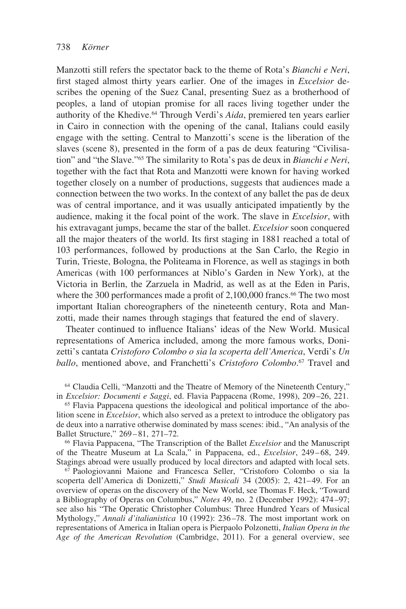Manzotti still refers the spectator back to the theme of Rota's *Bianchi e Neri*, first staged almost thirty years earlier. One of the images in *Excelsior* describes the opening of the Suez Canal, presenting Suez as a brotherhood of peoples, a land of utopian promise for all races living together under the authority of the Khedive.64 Through Verdi's *Aida*, premiered ten years earlier in Cairo in connection with the opening of the canal, Italians could easily engage with the setting. Central to Manzotti's scene is the liberation of the slaves (scene 8), presented in the form of a pas de deux featuring "Civilisation" and "the Slave."65 The similarity to Rota's pas de deux in *Bianchi e Neri*, together with the fact that Rota and Manzotti were known for having worked together closely on a number of productions, suggests that audiences made a connection between the two works. In the context of any ballet the pas de deux was of central importance, and it was usually anticipated impatiently by the audience, making it the focal point of the work. The slave in *Excelsior*, with his extravagant jumps, became the star of the ballet. *Excelsior* soon conquered all the major theaters of the world. Its first staging in 1881 reached a total of 103 performances, followed by productions at the San Carlo, the Regio in Turin, Trieste, Bologna, the Politeama in Florence, as well as stagings in both Americas (with 100 performances at Niblo's Garden in New York), at the Victoria in Berlin, the Zarzuela in Madrid, as well as at the Eden in Paris, where the 300 performances made a profit of  $2,100,000$  francs.<sup>66</sup> The two most important Italian choreographers of the nineteenth century, Rota and Manzotti, made their names through stagings that featured the end of slavery.

Theater continued to influence Italians' ideas of the New World. Musical representations of America included, among the more famous works, Donizetti's cantata *Cristoforo Colombo o sia la scoperta dell'America*, Verdi's *Un ballo*, mentioned above, and Franchetti's *Cristoforo Colombo*. <sup>67</sup> Travel and

<sup>64</sup> Claudia Celli, "Manzotti and the Theatre of Memory of the Nineteenth Century," in *Excelsior: Documenti e Saggi*, ed. Flavia Pappacena (Rome, 1998), 209–26, 221.

<sup>65</sup> Flavia Pappacena questions the ideological and political importance of the abolition scene in *Excelsior*, which also served as a pretext to introduce the obligatory pas de deux into a narrative otherwise dominated by mass scenes: ibid., "An analysis of the Ballet Structure," 269–81, 271–72.

<sup>66</sup> Flavia Pappacena, "The Transcription of the Ballet *Excelsior* and the Manuscript of the Theatre Museum at La Scala," in Pappacena, ed., *Excelsior*, 249–68, 249. Stagings abroad were usually produced by local directors and adapted with local sets.

<sup>67</sup> Paologiovanni Maione and Francesca Seller, "Cristoforo Colombo o sia la scoperta dell'America di Donizetti," *Studi Musicali* 34 (2005): 2, 421–49. For an overview of operas on the discovery of the New World, see Thomas F. Heck, "Toward a Bibliography of Operas on Columbus," *Notes* 49, no. 2 (December 1992): 474–97; see also his "The Operatic Christopher Columbus: Three Hundred Years of Musical Mythology," *Annali d'italianistica* 10 (1992): 236–78. The most important work on representations of America in Italian opera is Pierpaolo Polzonetti, *Italian Opera in the Age of the American Revolution* (Cambridge, 2011). For a general overview, see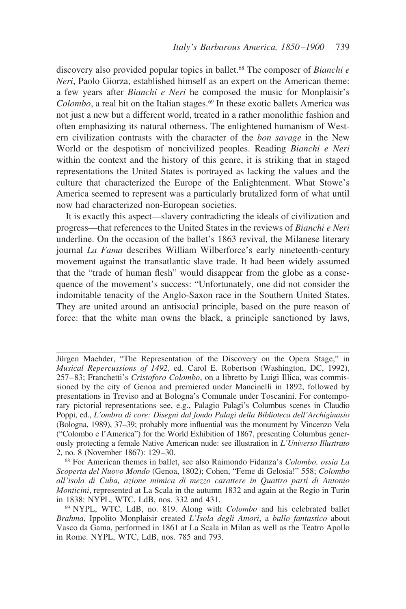discovery also provided popular topics in ballet.68 The composer of *Bianchi e Neri*, Paolo Giorza, established himself as an expert on the American theme: a few years after *Bianchi e Neri* he composed the music for Monplaisir's *Colombo*, a real hit on the Italian stages.<sup>69</sup> In these exotic ballets America was not just a new but a different world, treated in a rather monolithic fashion and often emphasizing its natural otherness. The enlightened humanism of Western civilization contrasts with the character of the *bon savage* in the New World or the despotism of noncivilized peoples. Reading *Bianchi e Neri* within the context and the history of this genre, it is striking that in staged representations the United States is portrayed as lacking the values and the culture that characterized the Europe of the Enlightenment. What Stowe's America seemed to represent was a particularly brutalized form of what until now had characterized non-European societies.

It is exactly this aspect—slavery contradicting the ideals of civilization and progress—that references to the United States in the reviews of *Bianchi e Neri* underline. On the occasion of the ballet's 1863 revival, the Milanese literary journal *La Fama* describes William Wilberforce's early nineteenth-century movement against the transatlantic slave trade. It had been widely assumed that the "trade of human flesh" would disappear from the globe as a consequence of the movement's success: "Unfortunately, one did not consider the indomitable tenacity of the Anglo-Saxon race in the Southern United States. They are united around an antisocial principle, based on the pure reason of force: that the white man owns the black, a principle sanctioned by laws,

Jürgen Maehder, "The Representation of the Discovery on the Opera Stage," in *Musical Repercussions of 1492*, ed. Carol E. Robertson (Washington, DC, 1992), 257–83; Franchetti's *Cristoforo Colombo*, on a libretto by Luigi Illica, was commissioned by the city of Genoa and premiered under Mancinelli in 1892, followed by presentations in Treviso and at Bologna's Comunale under Toscanini. For contemporary pictorial representations see, e.g., Palagio Palagi's Columbus scenes in Claudio Poppi, ed., *L'ombra di core: Disegni dal fondo Palagi della Biblioteca dell'Archiginasio* (Bologna, 1989), 37–39; probably more influential was the monument by Vincenzo Vela ("Colombo e l'America") for the World Exhibition of 1867, presenting Columbus generously protecting a female Native American nude: see illustration in *L'Universo Illustrato* 2, no. 8 (November 1867): 129–30.

<sup>68</sup> For American themes in ballet, see also Raimondo Fidanza's *Colombo, ossia La Scoperta del Nuovo Mondo* (Genoa, 1802); Cohen, "Feme di Gelosia!" 558; *Colombo all'isola di Cuba, azione mimica di mezzo carattere in Quattro parti di Antonio Monticini*, represented at La Scala in the autumn 1832 and again at the Regio in Turin in 1838: NYPL, WTC, LdB, nos. 332 and 431.

<sup>69</sup> NYPL, WTC, LdB, no. 819. Along with *Colombo* and his celebrated ballet *Brahma*, Ippolito Monplaisir created *L'Isola degli Amori*, a *ballo fantastico* about Vasco da Gama, performed in 1861 at La Scala in Milan as well as the Teatro Apollo in Rome. NYPL, WTC, LdB, nos. 785 and 793.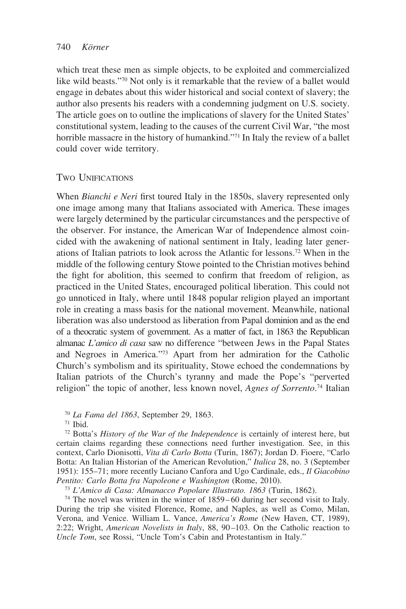which treat these men as simple objects, to be exploited and commercialized like wild beasts."70 Not only is it remarkable that the review of a ballet would engage in debates about this wider historical and social context of slavery; the author also presents his readers with a condemning judgment on U.S. society. The article goes on to outline the implications of slavery for the United States' constitutional system, leading to the causes of the current Civil War, "the most horrible massacre in the history of humankind."71 In Italy the review of a ballet could cover wide territory.

#### TWO UNIFICATIONS

When *Bianchi e Neri* first toured Italy in the 1850s, slavery represented only one image among many that Italians associated with America. These images were largely determined by the particular circumstances and the perspective of the observer. For instance, the American War of Independence almost coincided with the awakening of national sentiment in Italy, leading later generations of Italian patriots to look across the Atlantic for lessons.72 When in the middle of the following century Stowe pointed to the Christian motives behind the fight for abolition, this seemed to confirm that freedom of religion, as practiced in the United States, encouraged political liberation. This could not go unnoticed in Italy, where until 1848 popular religion played an important role in creating a mass basis for the national movement. Meanwhile, national liberation was also understood as liberation from Papal dominion and as the end of a theocratic system of government. As a matter of fact, in 1863 the Republican almanac *L'amico di casa* saw no difference "between Jews in the Papal States and Negroes in America."73 Apart from her admiration for the Catholic Church's symbolism and its spirituality, Stowe echoed the condemnations by Italian patriots of the Church's tyranny and made the Pope's "perverted religion" the topic of another, less known novel, *Agnes of Sorrento*. <sup>74</sup> Italian

<sup>70</sup> *La Fama del 1863*, September 29, 1863.

<sup>71</sup> Ibid.

<sup>72</sup> Botta's *History of the War of the Independence* is certainly of interest here, but certain claims regarding these connections need further investigation. See, in this context, Carlo Dionisotti, *Vita di Carlo Botta* (Turin, 1867); Jordan D. Fioere, "Carlo Botta: An Italian Historian of the American Revolution," *Italica* 28, no. 3 (September 1951): 155–71; more recently Luciano Canfora and Ugo Cardinale, eds., *Il Giacobino Pentito: Carlo Botta fra Napoleone e Washington* (Rome, 2010).

<sup>73</sup> *L'Amico di Casa: Almanacco Popolare Illustrato. 1863* (Turin, 1862).

<sup>74</sup> The novel was written in the winter of 1859–60 during her second visit to Italy. During the trip she visited Florence, Rome, and Naples, as well as Como, Milan, Verona, and Venice. William L. Vance, *America's Rome* (New Haven, CT, 1989), 2:22; Wright, *American Novelists in Italy*, 88, 90–103. On the Catholic reaction to *Uncle Tom*, see Rossi, "Uncle Tom's Cabin and Protestantism in Italy."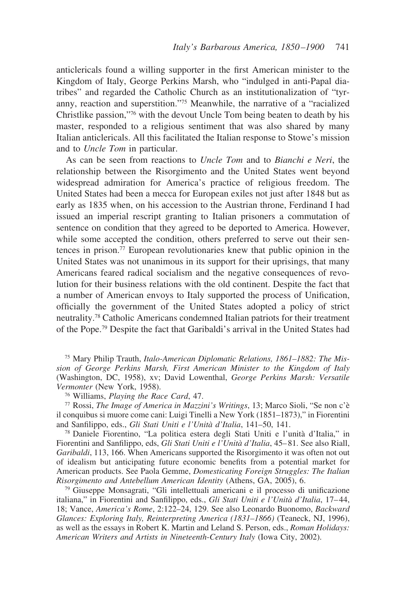anticlericals found a willing supporter in the first American minister to the Kingdom of Italy, George Perkins Marsh, who "indulged in anti-Papal diatribes" and regarded the Catholic Church as an institutionalization of "tyranny, reaction and superstition."75 Meanwhile, the narrative of a "racialized Christlike passion,"76 with the devout Uncle Tom being beaten to death by his master, responded to a religious sentiment that was also shared by many Italian anticlericals. All this facilitated the Italian response to Stowe's mission and to *Uncle Tom* in particular.

As can be seen from reactions to *Uncle Tom* and to *Bianchi e Neri*, the relationship between the Risorgimento and the United States went beyond widespread admiration for America's practice of religious freedom. The United States had been a mecca for European exiles not just after 1848 but as early as 1835 when, on his accession to the Austrian throne, Ferdinand I had issued an imperial rescript granting to Italian prisoners a commutation of sentence on condition that they agreed to be deported to America. However, while some accepted the condition, others preferred to serve out their sentences in prison.77 European revolutionaries knew that public opinion in the United States was not unanimous in its support for their uprisings, that many Americans feared radical socialism and the negative consequences of revolution for their business relations with the old continent. Despite the fact that a number of American envoys to Italy supported the process of Unification, officially the government of the United States adopted a policy of strict neutrality.78 Catholic Americans condemned Italian patriots for their treatment of the Pope.79 Despite the fact that Garibaldi's arrival in the United States had

<sup>75</sup> Mary Philip Trauth, *Italo-American Diplomatic Relations, 1861–1882: The Mission of George Perkins Marsh, First American Minister to the Kingdom of Italy* (Washington, DC, 1958), xv; David Lowenthal, *George Perkins Marsh: Versatile Vermonter* (New York, 1958).

<sup>76</sup> Williams, *Playing the Race Card*, 47.

<sup>77</sup> Rossi, *The Image of America in Mazzini's Writings*, 13; Marco Sioli, "Se non c'è il conquibus si muore come cani: Luigi Tinelli a New York (1851–1873)," in Fiorentini and Sanfilippo, eds., *Gli Stati Uniti e l'Unità d'Italia*, 141–50, 141.

<sup>78</sup> Daniele Fiorentino, "La politica estera degli Stati Uniti e l'unità d'Italia," in Fiorentini and Sanfilippo, eds, *Gli Stati Uniti e l'Unità d'Italia*, 45–81. See also Riall, *Garibaldi*, 113, 166. When Americans supported the Risorgimento it was often not out of idealism but anticipating future economic benefits from a potential market for American products. See Paola Gemme, *Domesticating Foreign Struggles: The Italian Risorgimento and Antebellum American Identity* (Athens, GA, 2005), 6.

<sup>79</sup> Giuseppe Monsagrati, "Gli intellettuali americani e il processo di unificazione italiana," in Fiorentini and Sanfilippo, eds., *Gli Stati Uniti e l'Unità d'Italia*, 17–44, 18; Vance, *America's Rome*, 2:122–24, 129. See also Leonardo Buonomo, *Backward Glances: Exploring Italy, Reinterpreting America (1831–1866)* (Teaneck, NJ, 1996), as well as the essays in Robert K. Martin and Leland S. Person, eds., *Roman Holidays: American Writers and Artists in Nineteenth-Century Italy* (Iowa City, 2002).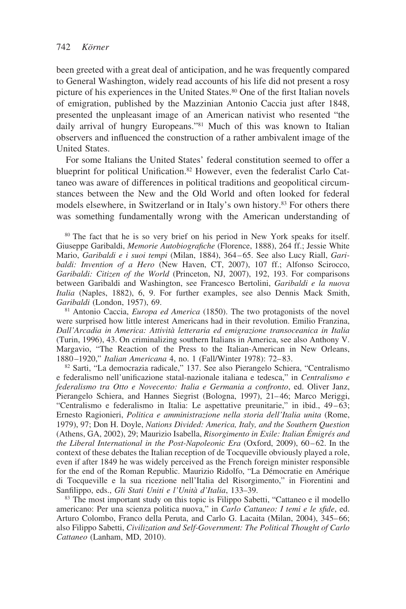been greeted with a great deal of anticipation, and he was frequently compared to General Washington, widely read accounts of his life did not present a rosy picture of his experiences in the United States.<sup>80</sup> One of the first Italian novels of emigration, published by the Mazzinian Antonio Caccia just after 1848, presented the unpleasant image of an American nativist who resented "the daily arrival of hungry Europeans."<sup>81</sup> Much of this was known to Italian observers and influenced the construction of a rather ambivalent image of the United States.

For some Italians the United States' federal constitution seemed to offer a blueprint for political Unification.82 However, even the federalist Carlo Cattaneo was aware of differences in political traditions and geopolitical circumstances between the New and the Old World and often looked for federal models elsewhere, in Switzerland or in Italy's own history.83 For others there was something fundamentally wrong with the American understanding of

<sup>80</sup> The fact that he is so very brief on his period in New York speaks for itself. Giuseppe Garibaldi, *Memorie Autobiografiche* (Florence, 1888), 264 ff.; Jessie White Mario, *Garibaldi e i suoi tempi* (Milan, 1884), 364–65. See also Lucy Riall, *Garibaldi: Invention of a Hero* (New Haven, CT, 2007), 107 ff.; Alfonso Scirocco, *Garibaldi: Citizen of the World* (Princeton, NJ, 2007), 192, 193. For comparisons between Garibaldi and Washington, see Francesco Bertolini, *Garibaldi e la nuova Italia* (Naples, 1882), 6, 9. For further examples, see also Dennis Mack Smith, *Garibaldi* (London, 1957), 69.

<sup>81</sup> Antonio Caccia, *Europa ed America* (1850). The two protagonists of the novel were surprised how little interest Americans had in their revolution. Emilio Franzina, *Dall'Arcadia in America: Attività letteraria ed emigrazione transoceanica in Italia* (Turin, 1996), 43. On criminalizing southern Italians in America, see also Anthony V. Margavio, "The Reaction of the Press to the Italian-American in New Orleans, 1880–1920," *Italian Americana* 4, no. 1 (Fall/Winter 1978): 72–83.

<sup>82</sup> Sarti, "La democrazia radicale," 137. See also Pierangelo Schiera, "Centralismo e federalismo nell'unificazione statal-nazionale italiana e tedesca," in *Centralismo e federalismo tra Otto e Novecento: Italia e Germania a confronto*, ed. Oliver Janz, Pierangelo Schiera, and Hannes Siegrist (Bologna, 1997), 21–46; Marco Meriggi, "Centralismo e federalismo in Italia: Le aspettative preunitarie," in ibid., 49–63; Ernesto Ragionieri, *Politica e amministrazione nella storia dell'Italia unita* (Rome, 1979), 97; Don H. Doyle, *Nations Divided: America, Italy, and the Southern Question* (Athens, GA, 2002), 29; Maurizio Isabella, *Risorgimento in Exile: Italian Émigrés and the Liberal International in the Post-Napoleonic Era* (Oxford, 2009), 60–62. In the context of these debates the Italian reception of de Tocqueville obviously played a role, even if after 1849 he was widely perceived as the French foreign minister responsible for the end of the Roman Republic. Maurizio Ridolfo, "La Démocratie en Amérique di Tocqueville e la sua ricezione nell'Italia del Risorgimento," in Fiorentini and Sanfilippo, eds., *Gli Stati Uniti e l'Unità d'Italia*, 133–39.

<sup>83</sup> The most important study on this topic is Filippo Sabetti, "Cattaneo e il modello americano: Per una scienza politica nuova," in *Carlo Cattaneo: I temi e le sfide*, ed. Arturo Colombo, Franco della Peruta, and Carlo G. Lacaita (Milan, 2004), 345–66; also Filippo Sabetti, *Civilization and Self-Government: The Political Thought of Carlo Cattaneo* (Lanham, MD, 2010).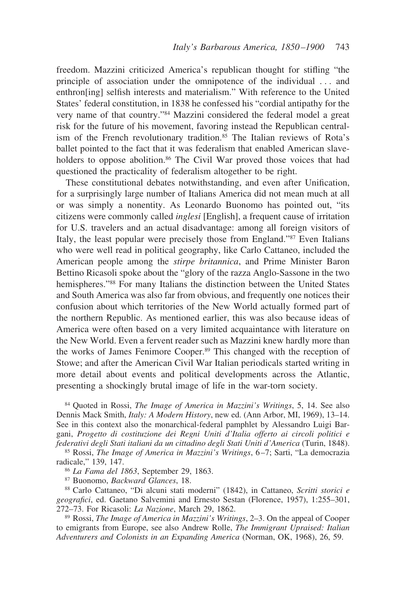freedom. Mazzini criticized America's republican thought for stifling "the principle of association under the omnipotence of the individual . . . and enthron[ing] selfish interests and materialism." With reference to the United States' federal constitution, in 1838 he confessed his "cordial antipathy for the very name of that country."84 Mazzini considered the federal model a great risk for the future of his movement, favoring instead the Republican centralism of the French revolutionary tradition.<sup>85</sup> The Italian reviews of Rota's ballet pointed to the fact that it was federalism that enabled American slaveholders to oppose abolition.<sup>86</sup> The Civil War proved those voices that had questioned the practicality of federalism altogether to be right.

These constitutional debates notwithstanding, and even after Unification, for a surprisingly large number of Italians America did not mean much at all or was simply a nonentity. As Leonardo Buonomo has pointed out, "its citizens were commonly called *inglesi* [English], a frequent cause of irritation for U.S. travelers and an actual disadvantage: among all foreign visitors of Italy, the least popular were precisely those from England."87 Even Italians who were well read in political geography, like Carlo Cattaneo, included the American people among the *stirpe britannica*, and Prime Minister Baron Bettino Ricasoli spoke about the "glory of the razza Anglo-Sassone in the two hemispheres."88 For many Italians the distinction between the United States and South America was also far from obvious, and frequently one notices their confusion about which territories of the New World actually formed part of the northern Republic. As mentioned earlier, this was also because ideas of America were often based on a very limited acquaintance with literature on the New World. Even a fervent reader such as Mazzini knew hardly more than the works of James Fenimore Cooper.89 This changed with the reception of Stowe; and after the American Civil War Italian periodicals started writing in more detail about events and political developments across the Atlantic, presenting a shockingly brutal image of life in the war-torn society.

<sup>84</sup> Quoted in Rossi, *The Image of America in Mazzini's Writings*, 5, 14. See also Dennis Mack Smith, *Italy: A Modern History*, new ed. (Ann Arbor, MI, 1969), 13–14. See in this context also the monarchical-federal pamphlet by Alessandro Luigi Bargani, *Progetto di costituzione dei Regni Uniti d'Italia offerto ai circoli politici e federativi degli Stati italiani da un cittadino degli Stati Uniti d'America* (Turin, 1848).

<sup>85</sup> Rossi, *The Image of America in Mazzini's Writings*, 6–7; Sarti, "La democrazia radicale," 139, 147.

<sup>86</sup> *La Fama del 1863*, September 29, 1863.

<sup>87</sup> Buonomo, *Backward Glances*, 18.

<sup>88</sup> Carlo Cattaneo, "Di alcuni stati moderni" (1842), in Cattaneo, *Scritti storici e geografici*, ed. Gaetano Salvemini and Ernesto Sestan (Florence, 1957), 1:255–301, 272–73. For Ricasoli: *La Nazione*, March 29, 1862.

<sup>89</sup> Rossi, *The Image of America in Mazzini's Writings*, 2–3. On the appeal of Cooper to emigrants from Europe, see also Andrew Rolle, *The Immigrant Upraised: Italian Adventurers and Colonists in an Expanding America* (Norman, OK, 1968), 26, 59.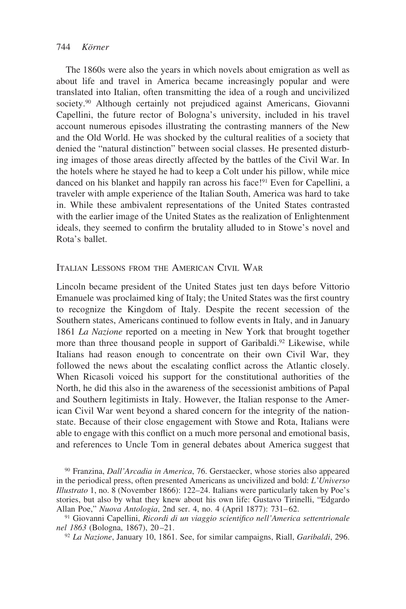#### 744 *Körner*

The 1860s were also the years in which novels about emigration as well as about life and travel in America became increasingly popular and were translated into Italian, often transmitting the idea of a rough and uncivilized society.90 Although certainly not prejudiced against Americans, Giovanni Capellini, the future rector of Bologna's university, included in his travel account numerous episodes illustrating the contrasting manners of the New and the Old World. He was shocked by the cultural realities of a society that denied the "natural distinction" between social classes. He presented disturbing images of those areas directly affected by the battles of the Civil War. In the hotels where he stayed he had to keep a Colt under his pillow, while mice danced on his blanket and happily ran across his face!<sup>91</sup> Even for Capellini, a traveler with ample experience of the Italian South, America was hard to take in. While these ambivalent representations of the United States contrasted with the earlier image of the United States as the realization of Enlightenment ideals, they seemed to confirm the brutality alluded to in Stowe's novel and Rota's ballet.

### ITALIAN LESSONS FROM THE AMERICAN CIVIL WAR

Lincoln became president of the United States just ten days before Vittorio Emanuele was proclaimed king of Italy; the United States was the first country to recognize the Kingdom of Italy. Despite the recent secession of the Southern states, Americans continued to follow events in Italy, and in January 1861 *La Nazione* reported on a meeting in New York that brought together more than three thousand people in support of Garibaldi.<sup>92</sup> Likewise, while Italians had reason enough to concentrate on their own Civil War, they followed the news about the escalating conflict across the Atlantic closely. When Ricasoli voiced his support for the constitutional authorities of the North, he did this also in the awareness of the secessionist ambitions of Papal and Southern legitimists in Italy. However, the Italian response to the American Civil War went beyond a shared concern for the integrity of the nationstate. Because of their close engagement with Stowe and Rota, Italians were able to engage with this conflict on a much more personal and emotional basis, and references to Uncle Tom in general debates about America suggest that

<sup>90</sup> Franzina, *Dall'Arcadia in America*, 76. Gerstaecker, whose stories also appeared in the periodical press, often presented Americans as uncivilized and bold: *L'Universo Illustrato* 1, no. 8 (November 1866): 122–24. Italians were particularly taken by Poe's stories, but also by what they knew about his own life: Gustavo Tirinelli, "Edgardo Allan Poe," *Nuova Antologia*, 2nd ser. 4, no. 4 (April 1877): 731–62.

<sup>91</sup> Giovanni Capellini, *Ricordi di un viaggio scientifico nell'America settentrionale nel 1863* (Bologna, 1867), 20–21.

<sup>92</sup> *La Nazione*, January 10, 1861. See, for similar campaigns, Riall, *Garibaldi*, 296.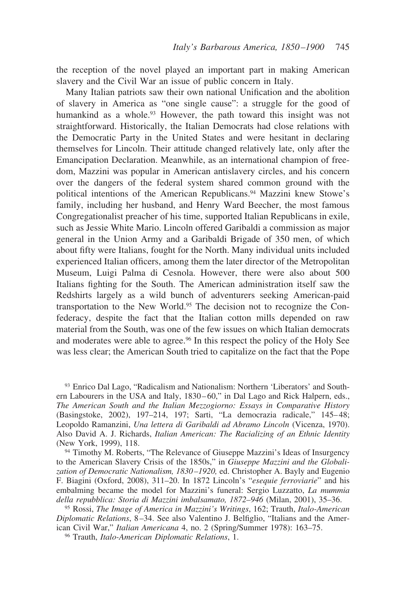the reception of the novel played an important part in making American slavery and the Civil War an issue of public concern in Italy.

Many Italian patriots saw their own national Unification and the abolition of slavery in America as "one single cause": a struggle for the good of humankind as a whole.<sup>93</sup> However, the path toward this insight was not straightforward. Historically, the Italian Democrats had close relations with the Democratic Party in the United States and were hesitant in declaring themselves for Lincoln. Their attitude changed relatively late, only after the Emancipation Declaration. Meanwhile, as an international champion of freedom, Mazzini was popular in American antislavery circles, and his concern over the dangers of the federal system shared common ground with the political intentions of the American Republicans.<sup>94</sup> Mazzini knew Stowe's family, including her husband, and Henry Ward Beecher, the most famous Congregationalist preacher of his time, supported Italian Republicans in exile, such as Jessie White Mario. Lincoln offered Garibaldi a commission as major general in the Union Army and a Garibaldi Brigade of 350 men, of which about fifty were Italians, fought for the North. Many individual units included experienced Italian officers, among them the later director of the Metropolitan Museum, Luigi Palma di Cesnola. However, there were also about 500 Italians fighting for the South. The American administration itself saw the Redshirts largely as a wild bunch of adventurers seeking American-paid transportation to the New World.95 The decision not to recognize the Confederacy, despite the fact that the Italian cotton mills depended on raw material from the South, was one of the few issues on which Italian democrats and moderates were able to agree.<sup>96</sup> In this respect the policy of the Holy See was less clear; the American South tried to capitalize on the fact that the Pope

<sup>93</sup> Enrico Dal Lago, "Radicalism and Nationalism: Northern 'Liberators' and Southern Labourers in the USA and Italy, 1830–60," in Dal Lago and Rick Halpern, eds., *The American South and the Italian Mezzogiorno: Essays in Comparative History* (Basingstoke, 2002), 197–214, 197; Sarti, "La democrazia radicale," 145–48; Leopoldo Ramanzini, *Una lettera di Garibaldi ad Abramo Lincoln* (Vicenza, 1970). Also David A. J. Richards, *Italian American: The Racializing of an Ethnic Identity* (New York, 1999), 118.

<sup>94</sup> Timothy M. Roberts, "The Relevance of Giuseppe Mazzini's Ideas of Insurgency to the American Slavery Crisis of the 1850s," in *Giuseppe Mazzini and the Globalization of Democratic Nationalism, 1830–1920,* ed. Christopher A. Bayly and Eugenio F. Biagini (Oxford, 2008), 311–20. In 1872 Lincoln's "*esequie ferroviarie*" and his embalming became the model for Mazzini's funeral: Sergio Luzzatto, *La mummia della repubblica: Storia di Mazzini imbalsamato, 1872–946* (Milan, 2001), 35–36.

<sup>95</sup> Rossi, *The Image of America in Mazzini's Writings*, 162; Trauth, *Italo-American Diplomatic Relations*, 8–34. See also Valentino J. Belfiglio, "Italians and the American Civil War," *Italian Americana* 4, no. 2 (Spring/Summer 1978): 163–75.

<sup>96</sup> Trauth, *Italo-American Diplomatic Relations*, 1.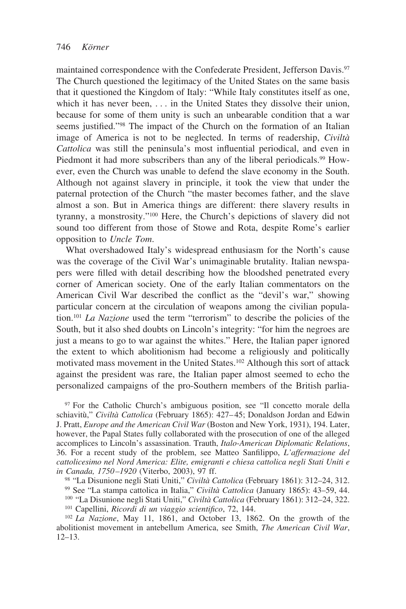maintained correspondence with the Confederate President, Jefferson Davis.<sup>97</sup> The Church questioned the legitimacy of the United States on the same basis that it questioned the Kingdom of Italy: "While Italy constitutes itself as one, which it has never been, ... in the United States they dissolve their union, because for some of them unity is such an unbearable condition that a war seems justified."<sup>98</sup> The impact of the Church on the formation of an Italian image of America is not to be neglected. In terms of readership, *Civiltà Cattolica* was still the peninsula's most influential periodical, and even in Piedmont it had more subscribers than any of the liberal periodicals.<sup>99</sup> However, even the Church was unable to defend the slave economy in the South. Although not against slavery in principle, it took the view that under the paternal protection of the Church "the master becomes father, and the slave almost a son. But in America things are different: there slavery results in tyranny, a monstrosity."100 Here, the Church's depictions of slavery did not sound too different from those of Stowe and Rota, despite Rome's earlier opposition to *Uncle Tom*.

What overshadowed Italy's widespread enthusiasm for the North's cause was the coverage of the Civil War's unimaginable brutality. Italian newspapers were filled with detail describing how the bloodshed penetrated every corner of American society. One of the early Italian commentators on the American Civil War described the conflict as the "devil's war," showing particular concern at the circulation of weapons among the civilian population.101 *La Nazione* used the term "terrorism" to describe the policies of the South, but it also shed doubts on Lincoln's integrity: "for him the negroes are just a means to go to war against the whites." Here, the Italian paper ignored the extent to which abolitionism had become a religiously and politically motivated mass movement in the United States.102 Although this sort of attack against the president was rare, the Italian paper almost seemed to echo the personalized campaigns of the pro-Southern members of the British parlia-

<sup>97</sup> For the Catholic Church's ambiguous position, see "Il concetto morale della schiavitù," *Civiltà Cattolica* (February 1865): 427–45; Donaldson Jordan and Edwin J. Pratt, *Europe and the American Civil War* (Boston and New York, 1931), 194. Later, however, the Papal States fully collaborated with the prosecution of one of the alleged accomplices to Lincoln's assassination. Trauth, *Italo-American Diplomatic Relations*, 36. For a recent study of the problem, see Matteo Sanfilippo, *L'affermazione del cattolicesimo nel Nord America: Elite, emigranti e chiesa cattolica negli Stati Uniti e in Canada, 1750–1920* (Viterbo, 2003), 97 ff.

 "La Disunione negli Stati Uniti," *Civiltà Cattolica* (February 1861): 312–24, 312. See "La stampa cattolica in Italia," *Civiltà Cattolica* (January 1865): 43–59, 44. "La Disunione negli Stati Uniti," *Civiltà Cattolica* (February 1861): 312–24, 322. Capellini, *Ricordi di un viaggio scientifico*, 72, 144.

<sup>102</sup> *La Nazione*, May 11, 1861, and October 13, 1862. On the growth of the abolitionist movement in antebellum America, see Smith, *The American Civil War*, 12–13.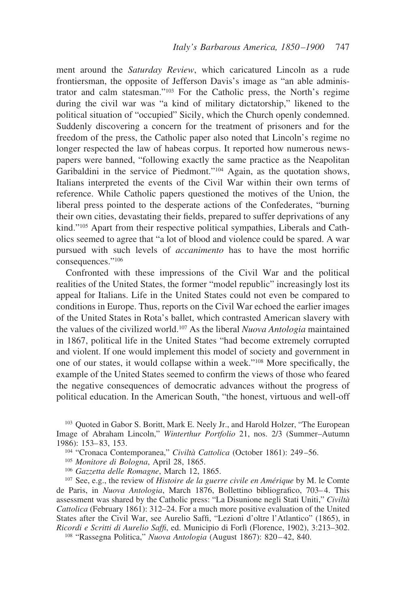ment around the *Saturday Review*, which caricatured Lincoln as a rude frontiersman, the opposite of Jefferson Davis's image as "an able administrator and calm statesman."103 For the Catholic press, the North's regime during the civil war was "a kind of military dictatorship," likened to the political situation of "occupied" Sicily, which the Church openly condemned. Suddenly discovering a concern for the treatment of prisoners and for the freedom of the press, the Catholic paper also noted that Lincoln's regime no longer respected the law of habeas corpus. It reported how numerous newspapers were banned, "following exactly the same practice as the Neapolitan Garibaldini in the service of Piedmont."104 Again, as the quotation shows, Italians interpreted the events of the Civil War within their own terms of reference. While Catholic papers questioned the motives of the Union, the liberal press pointed to the desperate actions of the Confederates, "burning their own cities, devastating their fields, prepared to suffer deprivations of any kind."105 Apart from their respective political sympathies, Liberals and Catholics seemed to agree that "a lot of blood and violence could be spared. A war pursued with such levels of *accanimento* has to have the most horrific consequences."106

Confronted with these impressions of the Civil War and the political realities of the United States, the former "model republic" increasingly lost its appeal for Italians. Life in the United States could not even be compared to conditions in Europe. Thus, reports on the Civil War echoed the earlier images of the United States in Rota's ballet, which contrasted American slavery with the values of the civilized world.107 As the liberal *Nuova Antologia* maintained in 1867, political life in the United States "had become extremely corrupted and violent. If one would implement this model of society and government in one of our states, it would collapse within a week."108 More specifically, the example of the United States seemed to confirm the views of those who feared the negative consequences of democratic advances without the progress of political education. In the American South, "the honest, virtuous and well-off

<sup>103</sup> Quoted in Gabor S. Boritt, Mark E. Neely Jr., and Harold Holzer, "The European Image of Abraham Lincoln," *Winterthur Portfolio* 21, nos. 2/3 (Summer–Autumn 1986): 153–83, 153.

<sup>104</sup> "Cronaca Contemporanea," *Civiltà Cattolica* (October 1861): 249–56.

<sup>105</sup> *Monitore di Bologna*, April 28, 1865.

<sup>106</sup> *Gazzetta delle Romagne*, March 12, 1865.

<sup>107</sup> See, e.g., the review of *Histoire de la guerre civile en Amérique* by M. le Comte de Paris, in *Nuova Antologia*, March 1876, Bollettino bibliografico, 703–4. This assessment was shared by the Catholic press: "La Disunione negli Stati Uniti," *Civiltà Cattolica* (February 1861): 312–24. For a much more positive evaluation of the United States after the Civil War, see Aurelio Saffi, "Lezioni d'oltre l'Atlantico" (1865), in *Ricordi e Scritti di Aurelio Saffi*, ed. Municipio di Forlì (Florence, 1902), 3:213–302.

<sup>108</sup> "Rassegna Politica," *Nuova Antologia* (August 1867): 820–42, 840.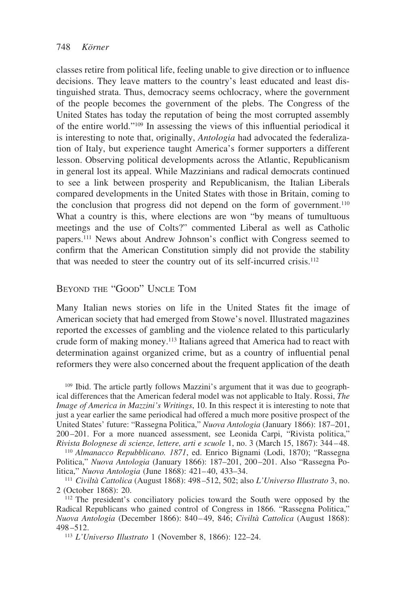classes retire from political life, feeling unable to give direction or to influence decisions. They leave matters to the country's least educated and least distinguished strata. Thus, democracy seems ochlocracy, where the government of the people becomes the government of the plebs. The Congress of the United States has today the reputation of being the most corrupted assembly of the entire world."109 In assessing the views of this influential periodical it is interesting to note that, originally, *Antologia* had advocated the federalization of Italy, but experience taught America's former supporters a different lesson. Observing political developments across the Atlantic, Republicanism in general lost its appeal. While Mazzinians and radical democrats continued to see a link between prosperity and Republicanism, the Italian Liberals compared developments in the United States with those in Britain, coming to the conclusion that progress did not depend on the form of government.<sup>110</sup> What a country is this, where elections are won "by means of tumultuous meetings and the use of Colts?" commented Liberal as well as Catholic papers.111 News about Andrew Johnson's conflict with Congress seemed to confirm that the American Constitution simply did not provide the stability that was needed to steer the country out of its self-incurred crisis.112

## BEYOND THE "GOOD" UNCLE TOM

Many Italian news stories on life in the United States fit the image of American society that had emerged from Stowe's novel. Illustrated magazines reported the excesses of gambling and the violence related to this particularly crude form of making money.113 Italians agreed that America had to react with determination against organized crime, but as a country of influential penal reformers they were also concerned about the frequent application of the death

<sup>109</sup> Ibid. The article partly follows Mazzini's argument that it was due to geographical differences that the American federal model was not applicable to Italy. Rossi, *The Image of America in Mazzini's Writings*, 10. In this respect it is interesting to note that just a year earlier the same periodical had offered a much more positive prospect of the United States' future: "Rassegna Politica," *Nuova Antologia* (January 1866): 187–201, 200–201. For a more nuanced assessment, see Leonida Carpi, "Rivista politica," *Rivista Bolognese di scienze, lettere, arti e scuole* 1, no. 3 (March 15, 1867): 344–48.

<sup>110</sup> *Almanacco Repubblicano. 1871*, ed. Enrico Bignami (Lodi, 1870); "Rassegna Politica," *Nuova Antologia* (January 1866): 187–201, 200–201. Also "Rassegna Politica," *Nuova Antologia* (June 1868): 421–40, 433–34.

<sup>111</sup> *Civiltà Cattolica* (August 1868): 498–512, 502; also *L'Universo Illustrato* 3, no. 2 (October 1868): 20.

<sup>112</sup> The president's conciliatory policies toward the South were opposed by the Radical Republicans who gained control of Congress in 1866. "Rassegna Politica," *Nuova Antologia* (December 1866): 840–49, 846; *Civiltà Cattolica* (August 1868): 498–512.

<sup>113</sup> *L'Universo Illustrato* 1 (November 8, 1866): 122–24.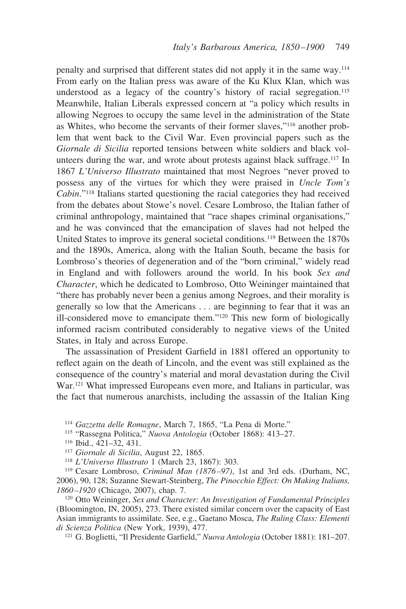penalty and surprised that different states did not apply it in the same way.114 From early on the Italian press was aware of the Ku Klux Klan, which was understood as a legacy of the country's history of racial segregation.<sup>115</sup> Meanwhile, Italian Liberals expressed concern at "a policy which results in allowing Negroes to occupy the same level in the administration of the State as Whites, who become the servants of their former slaves,"116 another problem that went back to the Civil War. Even provincial papers such as the *Giornale di Sicilia* reported tensions between white soldiers and black volunteers during the war, and wrote about protests against black suffrage.<sup>117</sup> In 1867 *L'Universo Illustrato* maintained that most Negroes "never proved to possess any of the virtues for which they were praised in *Uncle Tom's Cabin*."118 Italians started questioning the racial categories they had received from the debates about Stowe's novel. Cesare Lombroso, the Italian father of criminal anthropology, maintained that "race shapes criminal organisations," and he was convinced that the emancipation of slaves had not helped the United States to improve its general societal conditions.119 Between the 1870s and the 1890s, America, along with the Italian South, became the basis for Lombroso's theories of degeneration and of the "born criminal," widely read in England and with followers around the world. In his book *Sex and Character*, which he dedicated to Lombroso, Otto Weininger maintained that "there has probably never been a genius among Negroes, and their morality is generally so low that the Americans . . . are beginning to fear that it was an ill-considered move to emancipate them."120 This new form of biologically informed racism contributed considerably to negative views of the United States, in Italy and across Europe.

The assassination of President Garfield in 1881 offered an opportunity to reflect again on the death of Lincoln, and the event was still explained as the consequence of the country's material and moral devastation during the Civil War.<sup>121</sup> What impressed Europeans even more, and Italians in particular, was the fact that numerous anarchists, including the assassin of the Italian King

<sup>120</sup> Otto Weininger, *Sex and Character: An Investigation of Fundamental Principles* (Bloomington, IN, 2005), 273. There existed similar concern over the capacity of East Asian immigrants to assimilate. See, e.g., Gaetano Mosca, *The Ruling Class: Elementi di Scienza Politica* (New York, 1939), 477.

<sup>121</sup> G. Boglietti, "Il Presidente Garfield," *Nuova Antologia* (October 1881): 181–207.

<sup>114</sup> *Gazzetta delle Romagne*, March 7, 1865, "La Pena di Morte."

<sup>115</sup> "Rassegna Politica," *Nuova Antologia* (October 1868): 413–27.

<sup>116</sup> Ibid., 421–32, 431.

<sup>117</sup> *Giornale di Sicilia*, August 22, 1865.

<sup>118</sup> *L'Universo Illustrato* 1 (March 23, 1867): 303.

<sup>119</sup> Cesare Lombroso, *Criminal Man (1876–97)*, 1st and 3rd eds. (Durham, NC, 2006), 90, 128; Suzanne Stewart-Steinberg, *The Pinocchio Effect: On Making Italians, 1860–1920* (Chicago, 2007), chap. 7.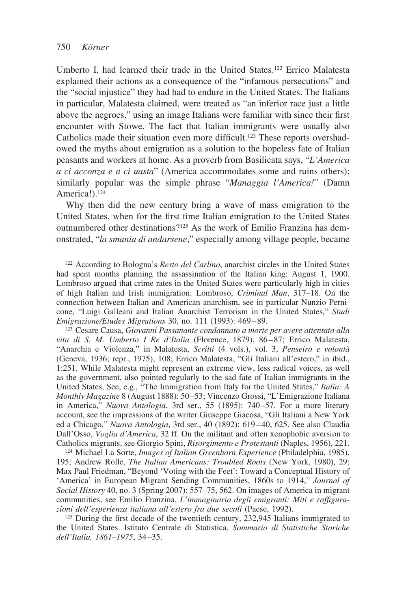Umberto I, had learned their trade in the United States.122 Errico Malatesta explained their actions as a consequence of the "infamous persecutions" and the "social injustice" they had had to endure in the United States. The Italians in particular, Malatesta claimed, were treated as "an inferior race just a little above the negroes," using an image Italians were familiar with since their first encounter with Stowe. The fact that Italian immigrants were usually also Catholics made their situation even more difficult.<sup>123</sup> These reports overshadowed the myths about emigration as a solution to the hopeless fate of Italian peasants and workers at home. As a proverb from Basilicata says, "*L'America a ci acconza e a ci uasta*" (America accommodates some and ruins others); similarly popular was the simple phrase "*Managgia l'America!*" (Damn America!).<sup>124</sup>

Why then did the new century bring a wave of mass emigration to the United States, when for the first time Italian emigration to the United States outnumbered other destinations?125 As the work of Emilio Franzina has demonstrated, "*la smania di andarsene*," especially among village people, became

<sup>122</sup> According to Bologna's *Resto del Carlino*, anarchist circles in the United States had spent months planning the assassination of the Italian king: August 1, 1900. Lombroso argued that crime rates in the United States were particularly high in cities of high Italian and Irish immigration: Lombroso, *Criminal Man*, 317–18. On the connection between Italian and American anarchism, see in particular Nunzio Pernicone, "Luigi Galleani and Italian Anarchist Terrorism in the United States," *Studi Emigrazione/Etudes Migrations* 30, no. 111 (1993): 469–89.

<sup>123</sup> Cesare Causa, *Giovanni Passanante condannato a morte per avere attentato alla vita di S. M. Umberto I Re d'Italia* (Florence, 1879), 86–87; Errico Malatesta, "Anarchia e Violenza," in Malatesta, *Scritti* (4 vols.), vol. 3, *Penseiro e volontà* (Geneva, 1936; repr., 1975), 108; Errico Malatesta, "Gli Italiani all'estero," in ibid., 1:251. While Malatesta might represent an extreme view, less radical voices, as well as the government, also pointed regularly to the sad fate of Italian immigrants in the United States. See, e.g., "The Immigration from Italy for the United States," *Italia: A Monthly Magazine* 8 (August 1888): 50–53; Vincenzo Grossi, "L'Emigrazione Italiana in America," *Nuova Antologia*, 3rd ser., 55 (1895): 740–57. For a more literary account, see the impressions of the writer Giuseppe Giacosa, "Gli Italiani a New York ed a Chicago," *Nuova Antologia*, 3rd ser., 40 (1892): 619–40, 625. See also Claudia Dall'Osso, *Voglia d'America*, 32 ff. On the militant and often xenophobic aversion to Catholics migrants, see Giorgio Spini, *Risorgimento e Protestanti* (Naples, 1956), 221.

<sup>124</sup> Michael La Sorte, *Images of Italian Greenhorn Experience* (Philadelphia, 1985), 195; Andrew Rolle, *The Italian Americans: Troubled Roots* (New York, 1980), 29; Max Paul Friedman, "Beyond 'Voting with the Feet': Toward a Conceptual History of 'America' in European Migrant Sending Communities, 1860s to 1914," *Journal of Social History* 40, no. 3 (Spring 2007): 557–75, 562. On images of America in migrant communities, see Emilio Franzina, *L'immaginario degli emigranti: Miti e raffigurazioni dell'esperienza italiana all'estero fra due secoli* (Paese, 1992).

 $125$  During the first decade of the twentieth century, 232,945 Italians immigrated to the United States. Istituto Centrale di Statistica, *Sommario di Statistiche Storiche dell'Italia, 1861–1975*, 34–35.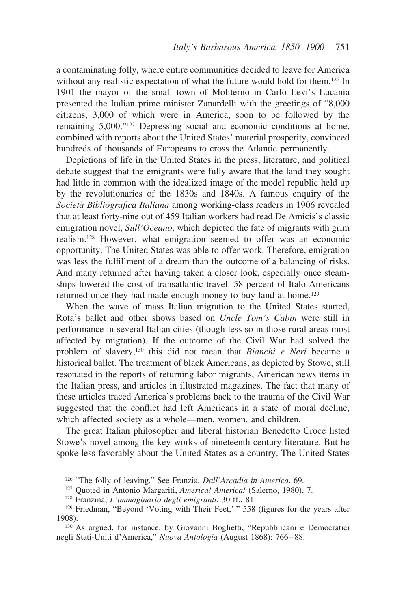a contaminating folly, where entire communities decided to leave for America without any realistic expectation of what the future would hold for them.<sup>126</sup> In 1901 the mayor of the small town of Moliterno in Carlo Levi's Lucania presented the Italian prime minister Zanardelli with the greetings of "8,000 citizens, 3,000 of which were in America, soon to be followed by the remaining 5,000."127 Depressing social and economic conditions at home, combined with reports about the United States' material prosperity, convinced hundreds of thousands of Europeans to cross the Atlantic permanently.

Depictions of life in the United States in the press, literature, and political debate suggest that the emigrants were fully aware that the land they sought had little in common with the idealized image of the model republic held up by the revolutionaries of the 1830s and 1840s. A famous enquiry of the *Società Bibliografica Italiana* among working-class readers in 1906 revealed that at least forty-nine out of 459 Italian workers had read De Amicis's classic emigration novel, *Sull'Oceano*, which depicted the fate of migrants with grim realism.128 However, what emigration seemed to offer was an economic opportunity. The United States was able to offer work. Therefore, emigration was less the fulfillment of a dream than the outcome of a balancing of risks. And many returned after having taken a closer look, especially once steamships lowered the cost of transatlantic travel: 58 percent of Italo-Americans returned once they had made enough money to buy land at home.<sup>129</sup>

When the wave of mass Italian migration to the United States started, Rota's ballet and other shows based on *Uncle Tom's Cabin* were still in performance in several Italian cities (though less so in those rural areas most affected by migration). If the outcome of the Civil War had solved the problem of slavery,130 this did not mean that *Bianchi e Neri* became a historical ballet. The treatment of black Americans, as depicted by Stowe, still resonated in the reports of returning labor migrants, American news items in the Italian press, and articles in illustrated magazines. The fact that many of these articles traced America's problems back to the trauma of the Civil War suggested that the conflict had left Americans in a state of moral decline, which affected society as a whole—men, women, and children.

The great Italian philosopher and liberal historian Benedetto Croce listed Stowe's novel among the key works of nineteenth-century literature. But he spoke less favorably about the United States as a country. The United States

<sup>126</sup> "The folly of leaving." See Franzia, *Dall'Arcadia in America*, 69.

<sup>127</sup> Quoted in Antonio Margariti, *America! America!* (Salerno, 1980), 7.

<sup>128</sup> Franzina, *L'immaginario degli emigranti*, 30 ff., 81.

<sup>129</sup> Friedman, "Beyond 'Voting with Their Feet,' " 558 (figures for the years after 1908).

<sup>130</sup> As argued, for instance, by Giovanni Boglietti, "Repubblicani e Democratici negli Stati-Uniti d'America," *Nuova Antologia* (August 1868): 766–88.